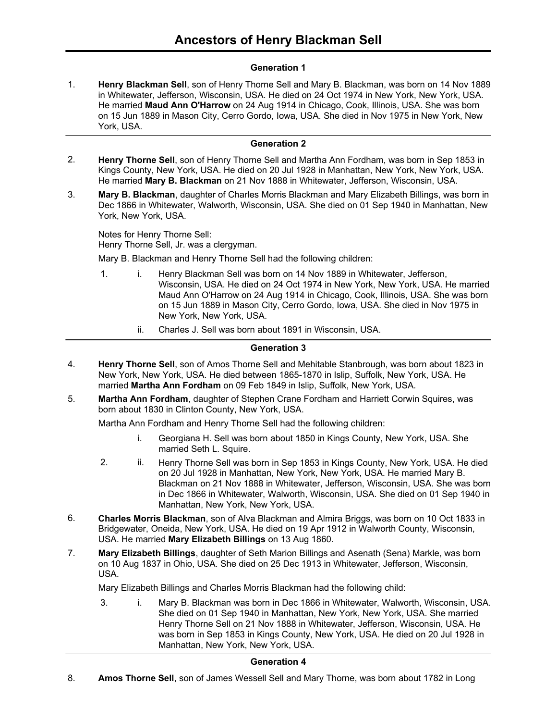# **Generation 1**

**Henry Blackman Sell**, son of Henry Thorne Sell and Mary B. Blackman, was born on 14 Nov 1889 in Whitewater, Jefferson, Wisconsin, USA. He died on 24 Oct 1974 in New York, New York, USA. He married **Maud Ann O'Harrow** on 24 Aug 1914 in Chicago, Cook, Illinois, USA. She was born on 15 Jun 1889 in Mason City, Cerro Gordo, Iowa, USA. She died in Nov 1975 in New York, New York, USA. 1.

## **Generation 2**

- **Henry Thorne Sell**, son of Henry Thorne Sell and Martha Ann Fordham, was born in Sep 1853 in Kings County, New York, USA. He died on 20 Jul 1928 in Manhattan, New York, New York, USA. He married **Mary B. Blackman** on 21 Nov 1888 in Whitewater, Jefferson, Wisconsin, USA. 2.
- **Mary B. Blackman**, daughter of Charles Morris Blackman and Mary Elizabeth Billings, was born in Dec 1866 in Whitewater, Walworth, Wisconsin, USA. She died on 01 Sep 1940 in Manhattan, New York, New York, USA. 3.

Notes for Henry Thorne Sell: Henry Thorne Sell, Jr. was a clergyman.

Mary B. Blackman and Henry Thorne Sell had the following children:

- 1. i. Henry Blackman Sell was born on 14 Nov 1889 in Whitewater, Jefferson, Wisconsin, USA. He died on 24 Oct 1974 in New York, New York, USA. He married Maud Ann O'Harrow on 24 Aug 1914 in Chicago, Cook, Illinois, USA. She was born on 15 Jun 1889 in Mason City, Cerro Gordo, Iowa, USA. She died in Nov 1975 in New York, New York, USA.
	- ii. Charles J. Sell was born about 1891 in Wisconsin, USA.

# **Generation 3**

- **Henry Thorne Sell**, son of Amos Thorne Sell and Mehitable Stanbrough, was born about 1823 in New York, New York, USA. He died between 1865-1870 in Islip, Suffolk, New York, USA. He married **Martha Ann Fordham** on 09 Feb 1849 in Islip, Suffolk, New York, USA. 4.
- **Martha Ann Fordham**, daughter of Stephen Crane Fordham and Harriett Corwin Squires, was born about 1830 in Clinton County, New York, USA. 5.

Martha Ann Fordham and Henry Thorne Sell had the following children:

- i. Georgiana H. Sell was born about 1850 in Kings County, New York, USA. She married Seth L. Squire.
- 2. ii. Henry Thorne Sell was born in Sep 1853 in Kings County, New York, USA. He died on 20 Jul 1928 in Manhattan, New York, New York, USA. He married Mary B. Blackman on 21 Nov 1888 in Whitewater, Jefferson, Wisconsin, USA. She was born in Dec 1866 in Whitewater, Walworth, Wisconsin, USA. She died on 01 Sep 1940 in Manhattan, New York, New York, USA.
- **Charles Morris Blackman**, son of Alva Blackman and Almira Briggs, was born on 10 Oct 1833 in Bridgewater, Oneida, New York, USA. He died on 19 Apr 1912 in Walworth County, Wisconsin, USA. He married **Mary Elizabeth Billings** on 13 Aug 1860. 6.
- **Mary Elizabeth Billings**, daughter of Seth Marion Billings and Asenath (Sena) Markle, was born on 10 Aug 1837 in Ohio, USA. She died on 25 Dec 1913 in Whitewater, Jefferson, Wisconsin, USA. 7.

Mary Elizabeth Billings and Charles Morris Blackman had the following child:

3. i. Mary B. Blackman was born in Dec 1866 in Whitewater, Walworth, Wisconsin, USA. She died on 01 Sep 1940 in Manhattan, New York, New York, USA. She married Henry Thorne Sell on 21 Nov 1888 in Whitewater, Jefferson, Wisconsin, USA. He was born in Sep 1853 in Kings County, New York, USA. He died on 20 Jul 1928 in Manhattan, New York, New York, USA.

## **Generation 4**

8. **Amos Thorne Sell**, son of James Wessell Sell and Mary Thorne, was born about 1782 in Long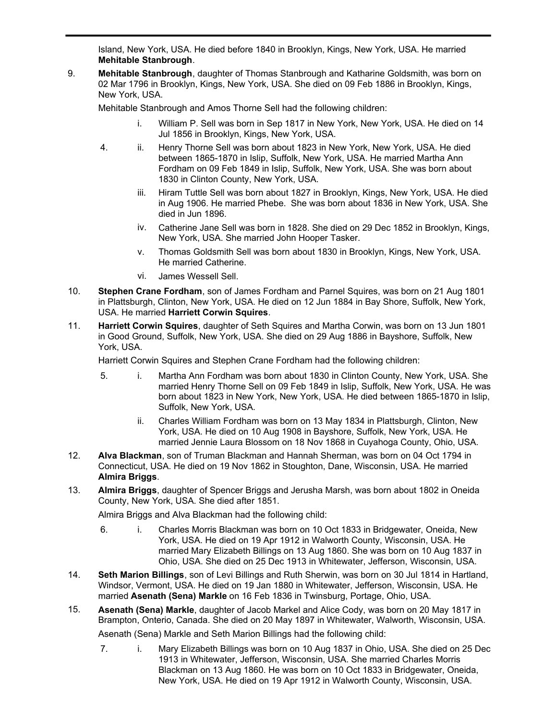**Amos Thorne Sell**, son of James Wessell Sell and Mary Thorne, was born about 1782 in Long Island, New York, USA. He died before 1840 in Brooklyn, Kings, New York, USA. He married **Mehitable Stanbrough**.

**Mehitable Stanbrough**, daughter of Thomas Stanbrough and Katharine Goldsmith, was born on 02 Mar 1796 in Brooklyn, Kings, New York, USA. She died on 09 Feb 1886 in Brooklyn, Kings, New York, USA. 9.

Mehitable Stanbrough and Amos Thorne Sell had the following children:

- i. William P. Sell was born in Sep 1817 in New York, New York, USA. He died on 14 Jul 1856 in Brooklyn, Kings, New York, USA.
- 4. ii. Henry Thorne Sell was born about 1823 in New York, New York, USA. He died between 1865-1870 in Islip, Suffolk, New York, USA. He married Martha Ann Fordham on 09 Feb 1849 in Islip, Suffolk, New York, USA. She was born about 1830 in Clinton County, New York, USA.
	- iii. Hiram Tuttle Sell was born about 1827 in Brooklyn, Kings, New York, USA. He died in Aug 1906. He married Phebe. She was born about 1836 in New York, USA. She died in Jun 1896.
	- iv. Catherine Jane Sell was born in 1828. She died on 29 Dec 1852 in Brooklyn, Kings, New York, USA. She married John Hooper Tasker.
	- v. Thomas Goldsmith Sell was born about 1830 in Brooklyn, Kings, New York, USA. He married Catherine.
	- vi. James Wessell Sell.

8.

- **Stephen Crane Fordham**, son of James Fordham and Parnel Squires, was born on 21 Aug 1801 in Plattsburgh, Clinton, New York, USA. He died on 12 Jun 1884 in Bay Shore, Suffolk, New York, USA. He married **Harriett Corwin Squires**. 10.
- **Harriett Corwin Squires**, daughter of Seth Squires and Martha Corwin, was born on 13 Jun 1801 in Good Ground, Suffolk, New York, USA. She died on 29 Aug 1886 in Bayshore, Suffolk, New York, USA. 11.

Harriett Corwin Squires and Stephen Crane Fordham had the following children:

- 5. i. Martha Ann Fordham was born about 1830 in Clinton County, New York, USA. She married Henry Thorne Sell on 09 Feb 1849 in Islip, Suffolk, New York, USA. He was born about 1823 in New York, New York, USA. He died between 1865-1870 in Islip, Suffolk, New York, USA.
	- ii. Charles William Fordham was born on 13 May 1834 in Plattsburgh, Clinton, New York, USA. He died on 10 Aug 1908 in Bayshore, Suffolk, New York, USA. He married Jennie Laura Blossom on 18 Nov 1868 in Cuyahoga County, Ohio, USA.
- **Alva Blackman**, son of Truman Blackman and Hannah Sherman, was born on 04 Oct 1794 in Connecticut, USA. He died on 19 Nov 1862 in Stoughton, Dane, Wisconsin, USA. He married **Almira Briggs**. 12.
- **Almira Briggs**, daughter of Spencer Briggs and Jerusha Marsh, was born about 1802 in Oneida County, New York, USA. She died after 1851. 13.

Almira Briggs and Alva Blackman had the following child:

- 6. i. Charles Morris Blackman was born on 10 Oct 1833 in Bridgewater, Oneida, New York, USA. He died on 19 Apr 1912 in Walworth County, Wisconsin, USA. He married Mary Elizabeth Billings on 13 Aug 1860. She was born on 10 Aug 1837 in Ohio, USA. She died on 25 Dec 1913 in Whitewater, Jefferson, Wisconsin, USA.
- **Seth Marion Billings**, son of Levi Billings and Ruth Sherwin, was born on 30 Jul 1814 in Hartland, Windsor, Vermont, USA. He died on 19 Jan 1880 in Whitewater, Jefferson, Wisconsin, USA. He married **Asenath (Sena) Markle** on 16 Feb 1836 in Twinsburg, Portage, Ohio, USA. 14.
- **Asenath (Sena) Markle**, daughter of Jacob Markel and Alice Cody, was born on 20 May 1817 in Brampton, Onterio, Canada. She died on 20 May 1897 in Whitewater, Walworth, Wisconsin, USA. 15. Asenath (Sena) Markle and Seth Marion Billings had the following child:
	- 7. i. Mary Elizabeth Billings was born on 10 Aug 1837 in Ohio, USA. She died on 25 Dec 1913 in Whitewater, Jefferson, Wisconsin, USA. She married Charles Morris Blackman on 13 Aug 1860. He was born on 10 Oct 1833 in Bridgewater, Oneida, New York, USA. He died on 19 Apr 1912 in Walworth County, Wisconsin, USA.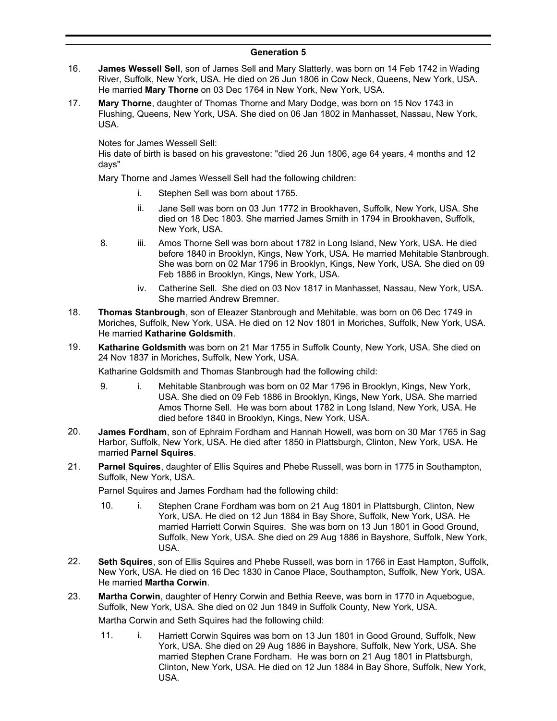# **Generation 5**

- **James Wessell Sell**, son of James Sell and Mary Slatterly, was born on 14 Feb 1742 in Wading River, Suffolk, New York, USA. He died on 26 Jun 1806 in Cow Neck, Queens, New York, USA. He married **Mary Thorne** on 03 Dec 1764 in New York, New York, USA. 16.
- **Mary Thorne**, daughter of Thomas Thorne and Mary Dodge, was born on 15 Nov 1743 in Flushing, Queens, New York, USA. She died on 06 Jan 1802 in Manhasset, Nassau, New York, USA. 17.

Notes for James Wessell Sell:

His date of birth is based on his gravestone: "died 26 Jun 1806, age 64 years, 4 months and 12 days"

Mary Thorne and James Wessell Sell had the following children:

- i. Stephen Sell was born about 1765.
- ii. Jane Sell was born on 03 Jun 1772 in Brookhaven, Suffolk, New York, USA. She died on 18 Dec 1803. She married James Smith in 1794 in Brookhaven, Suffolk, New York, USA.
- 8. iii. Amos Thorne Sell was born about 1782 in Long Island, New York, USA. He died before 1840 in Brooklyn, Kings, New York, USA. He married Mehitable Stanbrough. She was born on 02 Mar 1796 in Brooklyn, Kings, New York, USA. She died on 09 Feb 1886 in Brooklyn, Kings, New York, USA.
	- iv. Catherine Sell. She died on 03 Nov 1817 in Manhasset, Nassau, New York, USA. She married Andrew Bremner.
- **Thomas Stanbrough**, son of Eleazer Stanbrough and Mehitable, was born on 06 Dec 1749 in Moriches, Suffolk, New York, USA. He died on 12 Nov 1801 in Moriches, Suffolk, New York, USA. He married **Katharine Goldsmith**. 18.
- **Katharine Goldsmith** was born on 21 Mar 1755 in Suffolk County, New York, USA. She died on 24 Nov 1837 in Moriches, Suffolk, New York, USA. 19.

Katharine Goldsmith and Thomas Stanbrough had the following child:

- 9. i. Mehitable Stanbrough was born on 02 Mar 1796 in Brooklyn, Kings, New York, USA. She died on 09 Feb 1886 in Brooklyn, Kings, New York, USA. She married Amos Thorne Sell. He was born about 1782 in Long Island, New York, USA. He died before 1840 in Brooklyn, Kings, New York, USA.
- **James Fordham**, son of Ephraim Fordham and Hannah Howell, was born on 30 Mar 1765 in Sag Harbor, Suffolk, New York, USA. He died after 1850 in Plattsburgh, Clinton, New York, USA. He married **Parnel Squires**. 20.
- **Parnel Squires**, daughter of Ellis Squires and Phebe Russell, was born in 1775 in Southampton, Suffolk, New York, USA. 21.

Parnel Squires and James Fordham had the following child:

- 10. i. Stephen Crane Fordham was born on 21 Aug 1801 in Plattsburgh, Clinton, New York, USA. He died on 12 Jun 1884 in Bay Shore, Suffolk, New York, USA. He married Harriett Corwin Squires. She was born on 13 Jun 1801 in Good Ground, Suffolk, New York, USA. She died on 29 Aug 1886 in Bayshore, Suffolk, New York, USA.
- **Seth Squires**, son of Ellis Squires and Phebe Russell, was born in 1766 in East Hampton, Suffolk, New York, USA. He died on 16 Dec 1830 in Canoe Place, Southampton, Suffolk, New York, USA. He married **Martha Corwin**. 22.
- **Martha Corwin**, daughter of Henry Corwin and Bethia Reeve, was born in 1770 in Aquebogue, Suffolk, New York, USA. She died on 02 Jun 1849 in Suffolk County, New York, USA. 23.

Martha Corwin and Seth Squires had the following child:

11. i. Harriett Corwin Squires was born on 13 Jun 1801 in Good Ground, Suffolk, New York, USA. She died on 29 Aug 1886 in Bayshore, Suffolk, New York, USA. She married Stephen Crane Fordham. He was born on 21 Aug 1801 in Plattsburgh, Clinton, New York, USA. He died on 12 Jun 1884 in Bay Shore, Suffolk, New York, USA.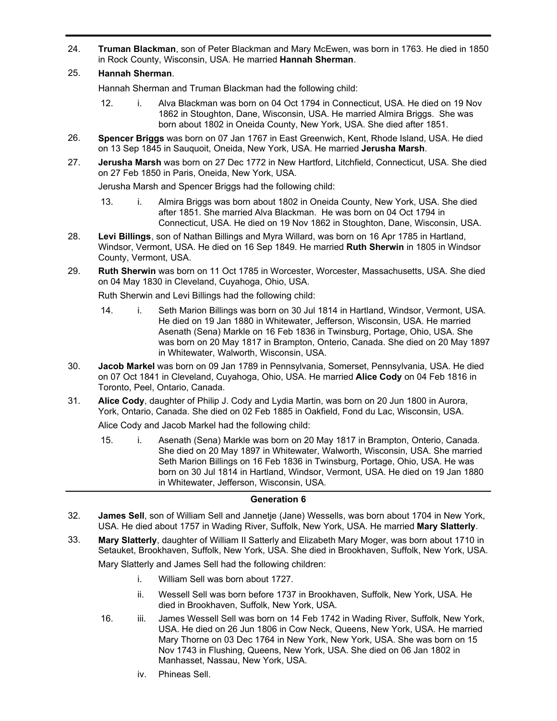- **Truman Blackman**, son of Peter Blackman and Mary McEwen, was born in 1763. He died in 1850 in Rock County, Wisconsin, USA. He married **Hannah Sherman**. 24.
- 25. **Hannah Sherman**.

Hannah Sherman and Truman Blackman had the following child:

- 12. i. Alva Blackman was born on 04 Oct 1794 in Connecticut, USA. He died on 19 Nov 1862 in Stoughton, Dane, Wisconsin, USA. He married Almira Briggs. She was born about 1802 in Oneida County, New York, USA. She died after 1851.
- **Spencer Briggs** was born on 07 Jan 1767 in East Greenwich, Kent, Rhode Island, USA. He died on 13 Sep 1845 in Sauquoit, Oneida, New York, USA. He married **Jerusha Marsh**. 26.
- **Jerusha Marsh** was born on 27 Dec 1772 in New Hartford, Litchfield, Connecticut, USA. She died on 27 Feb 1850 in Paris, Oneida, New York, USA. 27.

Jerusha Marsh and Spencer Briggs had the following child:

- 13. i. Almira Briggs was born about 1802 in Oneida County, New York, USA. She died after 1851. She married Alva Blackman. He was born on 04 Oct 1794 in Connecticut, USA. He died on 19 Nov 1862 in Stoughton, Dane, Wisconsin, USA.
- **Levi Billings**, son of Nathan Billings and Myra Willard, was born on 16 Apr 1785 in Hartland, Windsor, Vermont, USA. He died on 16 Sep 1849. He married **Ruth Sherwin** in 1805 in Windsor County, Vermont, USA. 28.
- **Ruth Sherwin** was born on 11 Oct 1785 in Worcester, Worcester, Massachusetts, USA. She died on 04 May 1830 in Cleveland, Cuyahoga, Ohio, USA. 29.

Ruth Sherwin and Levi Billings had the following child:

- 14. i. Seth Marion Billings was born on 30 Jul 1814 in Hartland, Windsor, Vermont, USA. He died on 19 Jan 1880 in Whitewater, Jefferson, Wisconsin, USA. He married Asenath (Sena) Markle on 16 Feb 1836 in Twinsburg, Portage, Ohio, USA. She was born on 20 May 1817 in Brampton, Onterio, Canada. She died on 20 May 1897 in Whitewater, Walworth, Wisconsin, USA.
- **Jacob Markel** was born on 09 Jan 1789 in Pennsylvania, Somerset, Pennsylvania, USA. He died on 07 Oct 1841 in Cleveland, Cuyahoga, Ohio, USA. He married **Alice Cody** on 04 Feb 1816 in Toronto, Peel, Ontario, Canada. 30.
- **Alice Cody**, daughter of Philip J. Cody and Lydia Martin, was born on 20 Jun 1800 in Aurora, York, Ontario, Canada. She died on 02 Feb 1885 in Oakfield, Fond du Lac, Wisconsin, USA. 31.

Alice Cody and Jacob Markel had the following child:

15. i. Asenath (Sena) Markle was born on 20 May 1817 in Brampton, Onterio, Canada. She died on 20 May 1897 in Whitewater, Walworth, Wisconsin, USA. She married Seth Marion Billings on 16 Feb 1836 in Twinsburg, Portage, Ohio, USA. He was born on 30 Jul 1814 in Hartland, Windsor, Vermont, USA. He died on 19 Jan 1880 in Whitewater, Jefferson, Wisconsin, USA.

### **Generation 6**

- **James Sell**, son of William Sell and Jannetje (Jane) Wessells, was born about 1704 in New York, USA. He died about 1757 in Wading River, Suffolk, New York, USA. He married **Mary Slatterly**. 32.
- **Mary Slatterly**, daughter of William II Satterly and Elizabeth Mary Moger, was born about 1710 in Setauket, Brookhaven, Suffolk, New York, USA. She died in Brookhaven, Suffolk, New York, USA. 33.

Mary Slatterly and James Sell had the following children:

- i. William Sell was born about 1727.
- ii. Wessell Sell was born before 1737 in Brookhaven, Suffolk, New York, USA. He died in Brookhaven, Suffolk, New York, USA.
- 16. iii. James Wessell Sell was born on 14 Feb 1742 in Wading River, Suffolk, New York, USA. He died on 26 Jun 1806 in Cow Neck, Queens, New York, USA. He married Mary Thorne on 03 Dec 1764 in New York, New York, USA. She was born on 15 Nov 1743 in Flushing, Queens, New York, USA. She died on 06 Jan 1802 in Manhasset, Nassau, New York, USA.
	- iv. Phineas Sell.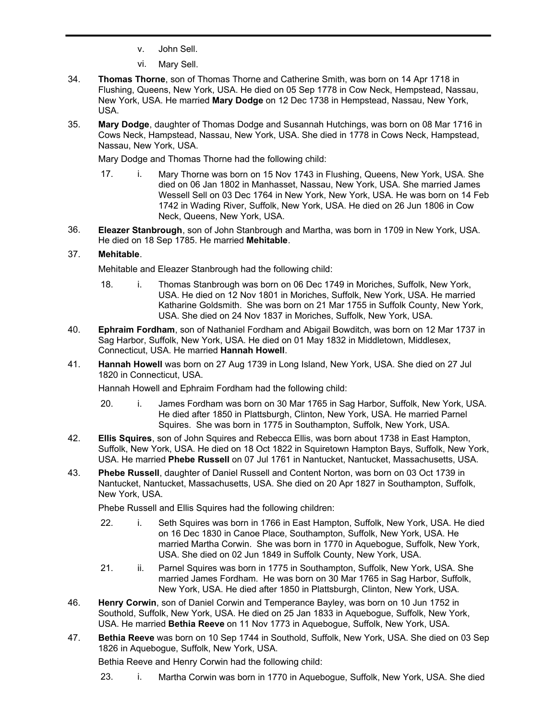- v. John Sell.
- vi. Mary Sell.
- **Thomas Thorne**, son of Thomas Thorne and Catherine Smith, was born on 14 Apr 1718 in Flushing, Queens, New York, USA. He died on 05 Sep 1778 in Cow Neck, Hempstead, Nassau, New York, USA. He married **Mary Dodge** on 12 Dec 1738 in Hempstead, Nassau, New York, USA. 34.
- **Mary Dodge**, daughter of Thomas Dodge and Susannah Hutchings, was born on 08 Mar 1716 in Cows Neck, Hampstead, Nassau, New York, USA. She died in 1778 in Cows Neck, Hampstead, Nassau, New York, USA. 35.

Mary Dodge and Thomas Thorne had the following child:

- 17. i. Mary Thorne was born on 15 Nov 1743 in Flushing, Queens, New York, USA. She died on 06 Jan 1802 in Manhasset, Nassau, New York, USA. She married James Wessell Sell on 03 Dec 1764 in New York, New York, USA. He was born on 14 Feb 1742 in Wading River, Suffolk, New York, USA. He died on 26 Jun 1806 in Cow Neck, Queens, New York, USA.
- **Eleazer Stanbrough**, son of John Stanbrough and Martha, was born in 1709 in New York, USA. He died on 18 Sep 1785. He married **Mehitable**. 36.

# 37. **Mehitable**.

Mehitable and Eleazer Stanbrough had the following child:

- 18. i. Thomas Stanbrough was born on 06 Dec 1749 in Moriches, Suffolk, New York, USA. He died on 12 Nov 1801 in Moriches, Suffolk, New York, USA. He married Katharine Goldsmith. She was born on 21 Mar 1755 in Suffolk County, New York, USA. She died on 24 Nov 1837 in Moriches, Suffolk, New York, USA.
- **Ephraim Fordham**, son of Nathaniel Fordham and Abigail Bowditch, was born on 12 Mar 1737 in Sag Harbor, Suffolk, New York, USA. He died on 01 May 1832 in Middletown, Middlesex, Connecticut, USA. He married **Hannah Howell**. 40.
- **Hannah Howell** was born on 27 Aug 1739 in Long Island, New York, USA. She died on 27 Jul 1820 in Connecticut, USA. 41.

Hannah Howell and Ephraim Fordham had the following child:

- 20. i. James Fordham was born on 30 Mar 1765 in Sag Harbor, Suffolk, New York, USA. He died after 1850 in Plattsburgh, Clinton, New York, USA. He married Parnel Squires. She was born in 1775 in Southampton, Suffolk, New York, USA.
- **Ellis Squires**, son of John Squires and Rebecca Ellis, was born about 1738 in East Hampton, Suffolk, New York, USA. He died on 18 Oct 1822 in Squiretown Hampton Bays, Suffolk, New York, USA. He married **Phebe Russell** on 07 Jul 1761 in Nantucket, Nantucket, Massachusetts, USA. 42.
- **Phebe Russell**, daughter of Daniel Russell and Content Norton, was born on 03 Oct 1739 in Nantucket, Nantucket, Massachusetts, USA. She died on 20 Apr 1827 in Southampton, Suffolk, New York, USA. 43.

Phebe Russell and Ellis Squires had the following children:

- 22. i. Seth Squires was born in 1766 in East Hampton, Suffolk, New York, USA. He died on 16 Dec 1830 in Canoe Place, Southampton, Suffolk, New York, USA. He married Martha Corwin. She was born in 1770 in Aquebogue, Suffolk, New York, USA. She died on 02 Jun 1849 in Suffolk County, New York, USA.
- 21. ii. Parnel Squires was born in 1775 in Southampton, Suffolk, New York, USA. She married James Fordham. He was born on 30 Mar 1765 in Sag Harbor, Suffolk, New York, USA. He died after 1850 in Plattsburgh, Clinton, New York, USA.
- **Henry Corwin**, son of Daniel Corwin and Temperance Bayley, was born on 10 Jun 1752 in Southold, Suffolk, New York, USA. He died on 25 Jan 1833 in Aquebogue, Suffolk, New York, USA. He married **Bethia Reeve** on 11 Nov 1773 in Aquebogue, Suffolk, New York, USA. 46.
- **Bethia Reeve** was born on 10 Sep 1744 in Southold, Suffolk, New York, USA. She died on 03 Sep 1826 in Aquebogue, Suffolk, New York, USA. 47.

Bethia Reeve and Henry Corwin had the following child:

23. i. Martha Corwin was born in 1770 in Aquebogue, Suffolk, New York, USA. She died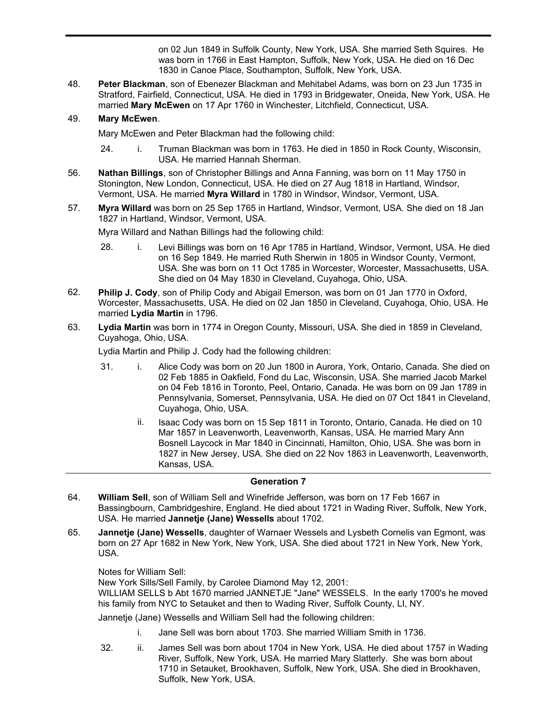23. i. Martha Corwin was born in 1770 in Aquebogue, Suffolk, New York, USA. She died on 02 Jun 1849 in Suffolk County, New York, USA. She married Seth Squires. He was born in 1766 in East Hampton, Suffolk, New York, USA. He died on 16 Dec 1830 in Canoe Place, Southampton, Suffolk, New York, USA.

**Peter Blackman**, son of Ebenezer Blackman and Mehitabel Adams, was born on 23 Jun 1735 in Stratford, Fairfield, Connecticut, USA. He died in 1793 in Bridgewater, Oneida, New York, USA. He married **Mary McEwen** on 17 Apr 1760 in Winchester, Litchfield, Connecticut, USA. 48.

# 49. **Mary McEwen**.

Mary McEwen and Peter Blackman had the following child:

- 24. i. Truman Blackman was born in 1763. He died in 1850 in Rock County, Wisconsin, USA. He married Hannah Sherman.
- **Nathan Billings**, son of Christopher Billings and Anna Fanning, was born on 11 May 1750 in Stonington, New London, Connecticut, USA. He died on 27 Aug 1818 in Hartland, Windsor, Vermont, USA. He married **Myra Willard** in 1780 in Windsor, Windsor, Vermont, USA. 56.
- **Myra Willard** was born on 25 Sep 1765 in Hartland, Windsor, Vermont, USA. She died on 18 Jan 1827 in Hartland, Windsor, Vermont, USA. 57.

Myra Willard and Nathan Billings had the following child:

- 28. i. Levi Billings was born on 16 Apr 1785 in Hartland, Windsor, Vermont, USA. He died on 16 Sep 1849. He married Ruth Sherwin in 1805 in Windsor County, Vermont, USA. She was born on 11 Oct 1785 in Worcester, Worcester, Massachusetts, USA. She died on 04 May 1830 in Cleveland, Cuyahoga, Ohio, USA.
- **Philip J. Cody**, son of Philip Cody and Abigail Emerson, was born on 01 Jan 1770 in Oxford, Worcester, Massachusetts, USA. He died on 02 Jan 1850 in Cleveland, Cuyahoga, Ohio, USA. He married **Lydia Martin** in 1796. 62.
- **Lydia Martin** was born in 1774 in Oregon County, Missouri, USA. She died in 1859 in Cleveland, Cuyahoga, Ohio, USA. 63.

Lydia Martin and Philip J. Cody had the following children:

- 31. i. Alice Cody was born on 20 Jun 1800 in Aurora, York, Ontario, Canada. She died on 02 Feb 1885 in Oakfield, Fond du Lac, Wisconsin, USA. She married Jacob Markel on 04 Feb 1816 in Toronto, Peel, Ontario, Canada. He was born on 09 Jan 1789 in Pennsylvania, Somerset, Pennsylvania, USA. He died on 07 Oct 1841 in Cleveland, Cuyahoga, Ohio, USA.
	- ii. Isaac Cody was born on 15 Sep 1811 in Toronto, Ontario, Canada. He died on 10 Mar 1857 in Leavenworth, Leavenworth, Kansas, USA. He married Mary Ann Bosnell Laycock in Mar 1840 in Cincinnati, Hamilton, Ohio, USA. She was born in 1827 in New Jersey, USA. She died on 22 Nov 1863 in Leavenworth, Leavenworth, Kansas, USA.

## **Generation 7**

- **William Sell**, son of William Sell and Winefride Jefferson, was born on 17 Feb 1667 in Bassingbourn, Cambridgeshire, England. He died about 1721 in Wading River, Suffolk, New York, USA. He married **Jannetje (Jane) Wessells** about 1702. 64.
- **Jannetje (Jane) Wessells**, daughter of Warnaer Wessels and Lysbeth Cornelis van Egmont, was born on 27 Apr 1682 in New York, New York, USA. She died about 1721 in New York, New York, USA. 65.

Notes for William Sell:

New York Sills/Sell Family, by Carolee Diamond May 12, 2001:

WILLIAM SELLS b Abt 1670 married JANNETJE "Jane" WESSELS. In the early 1700's he moved his family from NYC to Setauket and then to Wading River, Suffolk County, LI, NY.

Jannetie (Jane) Wessells and William Sell had the following children:

- i. Jane Sell was born about 1703. She married William Smith in 1736.
- 32. ii. James Sell was born about 1704 in New York, USA. He died about 1757 in Wading River, Suffolk, New York, USA. He married Mary Slatterly. She was born about 1710 in Setauket, Brookhaven, Suffolk, New York, USA. She died in Brookhaven, Suffolk, New York, USA.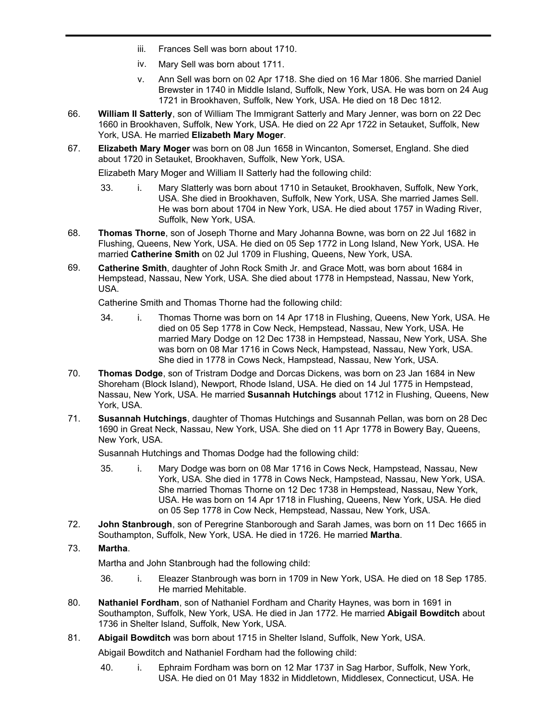- iii. Frances Sell was born about 1710.
- iv. Mary Sell was born about 1711.
- v. Ann Sell was born on 02 Apr 1718. She died on 16 Mar 1806. She married Daniel Brewster in 1740 in Middle Island, Suffolk, New York, USA. He was born on 24 Aug 1721 in Brookhaven, Suffolk, New York, USA. He died on 18 Dec 1812.
- **William II Satterly**, son of William The Immigrant Satterly and Mary Jenner, was born on 22 Dec 1660 in Brookhaven, Suffolk, New York, USA. He died on 22 Apr 1722 in Setauket, Suffolk, New York, USA. He married **Elizabeth Mary Moger**. 66.
- **Elizabeth Mary Moger** was born on 08 Jun 1658 in Wincanton, Somerset, England. She died about 1720 in Setauket, Brookhaven, Suffolk, New York, USA. 67.

Elizabeth Mary Moger and William II Satterly had the following child:

- 33. i. Mary Slatterly was born about 1710 in Setauket, Brookhaven, Suffolk, New York, USA. She died in Brookhaven, Suffolk, New York, USA. She married James Sell. He was born about 1704 in New York, USA. He died about 1757 in Wading River, Suffolk, New York, USA.
- **Thomas Thorne**, son of Joseph Thorne and Mary Johanna Bowne, was born on 22 Jul 1682 in Flushing, Queens, New York, USA. He died on 05 Sep 1772 in Long Island, New York, USA. He married **Catherine Smith** on 02 Jul 1709 in Flushing, Queens, New York, USA. 68.
- **Catherine Smith**, daughter of John Rock Smith Jr. and Grace Mott, was born about 1684 in Hempstead, Nassau, New York, USA. She died about 1778 in Hempstead, Nassau, New York, USA. 69.

Catherine Smith and Thomas Thorne had the following child:

- 34. i. Thomas Thorne was born on 14 Apr 1718 in Flushing, Queens, New York, USA. He died on 05 Sep 1778 in Cow Neck, Hempstead, Nassau, New York, USA. He married Mary Dodge on 12 Dec 1738 in Hempstead, Nassau, New York, USA. She was born on 08 Mar 1716 in Cows Neck, Hampstead, Nassau, New York, USA. She died in 1778 in Cows Neck, Hampstead, Nassau, New York, USA.
- **Thomas Dodge**, son of Tristram Dodge and Dorcas Dickens, was born on 23 Jan 1684 in New Shoreham (Block Island), Newport, Rhode Island, USA. He died on 14 Jul 1775 in Hempstead, Nassau, New York, USA. He married **Susannah Hutchings** about 1712 in Flushing, Queens, New York, USA. 70.
- **Susannah Hutchings**, daughter of Thomas Hutchings and Susannah Pellan, was born on 28 Dec 1690 in Great Neck, Nassau, New York, USA. She died on 11 Apr 1778 in Bowery Bay, Queens, New York, USA. 71.

Susannah Hutchings and Thomas Dodge had the following child:

- 35. i. Mary Dodge was born on 08 Mar 1716 in Cows Neck, Hampstead, Nassau, New York, USA. She died in 1778 in Cows Neck, Hampstead, Nassau, New York, USA. She married Thomas Thorne on 12 Dec 1738 in Hempstead, Nassau, New York, USA. He was born on 14 Apr 1718 in Flushing, Queens, New York, USA. He died on 05 Sep 1778 in Cow Neck, Hempstead, Nassau, New York, USA.
- **John Stanbrough**, son of Peregrine Stanborough and Sarah James, was born on 11 Dec 1665 in Southampton, Suffolk, New York, USA. He died in 1726. He married **Martha**. 72.
- 73. **Martha**.

Martha and John Stanbrough had the following child:

- 36. i. Eleazer Stanbrough was born in 1709 in New York, USA. He died on 18 Sep 1785. He married Mehitable.
- **Nathaniel Fordham**, son of Nathaniel Fordham and Charity Haynes, was born in 1691 in Southampton, Suffolk, New York, USA. He died in Jan 1772. He married **Abigail Bowditch** about 1736 in Shelter Island, Suffolk, New York, USA. 80.
- 81. **Abigail Bowditch** was born about 1715 in Shelter Island, Suffolk, New York, USA.

Abigail Bowditch and Nathaniel Fordham had the following child:

40. i. Ephraim Fordham was born on 12 Mar 1737 in Sag Harbor, Suffolk, New York, USA. He died on 01 May 1832 in Middletown, Middlesex, Connecticut, USA. He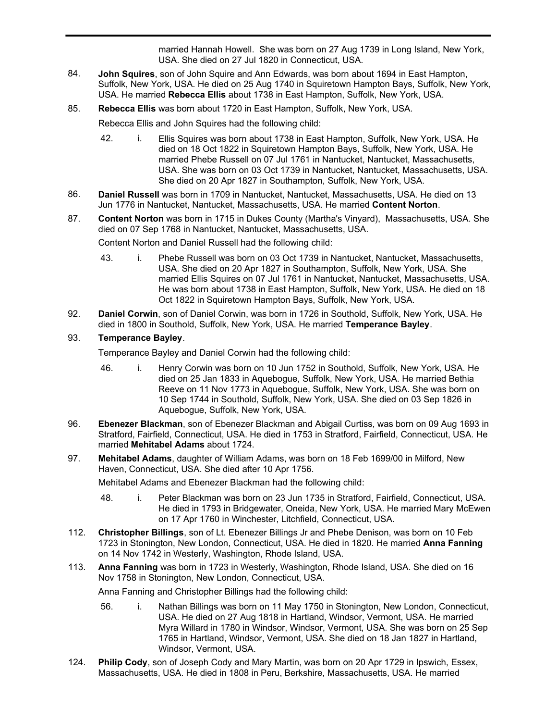USA. He died on 01 May 1832 in Middletown, Middlesex, Connecticut, USA. He married Hannah Howell. She was born on 27 Aug 1739 in Long Island, New York, USA. She died on 27 Jul 1820 in Connecticut, USA.

- **John Squires**, son of John Squire and Ann Edwards, was born about 1694 in East Hampton, Suffolk, New York, USA. He died on 25 Aug 1740 in Squiretown Hampton Bays, Suffolk, New York, USA. He married **Rebecca Ellis** about 1738 in East Hampton, Suffolk, New York, USA. 84.
- 85. **Rebecca Ellis** was born about 1720 in East Hampton, Suffolk, New York, USA.

Rebecca Ellis and John Squires had the following child:

- 42. i. Ellis Squires was born about 1738 in East Hampton, Suffolk, New York, USA. He died on 18 Oct 1822 in Squiretown Hampton Bays, Suffolk, New York, USA. He married Phebe Russell on 07 Jul 1761 in Nantucket, Nantucket, Massachusetts, USA. She was born on 03 Oct 1739 in Nantucket, Nantucket, Massachusetts, USA. She died on 20 Apr 1827 in Southampton, Suffolk, New York, USA.
- **Daniel Russell** was born in 1709 in Nantucket, Nantucket, Massachusetts, USA. He died on 13 Jun 1776 in Nantucket, Nantucket, Massachusetts, USA. He married **Content Norton**. 86.
- **Content Norton** was born in 1715 in Dukes County (Martha's Vinyard), Massachusetts, USA. She died on 07 Sep 1768 in Nantucket, Nantucket, Massachusetts, USA. 87.

Content Norton and Daniel Russell had the following child:

- 43. i. Phebe Russell was born on 03 Oct 1739 in Nantucket, Nantucket, Massachusetts, USA. She died on 20 Apr 1827 in Southampton, Suffolk, New York, USA. She married Ellis Squires on 07 Jul 1761 in Nantucket, Nantucket, Massachusetts, USA. He was born about 1738 in East Hampton, Suffolk, New York, USA. He died on 18 Oct 1822 in Squiretown Hampton Bays, Suffolk, New York, USA.
- **Daniel Corwin**, son of Daniel Corwin, was born in 1726 in Southold, Suffolk, New York, USA. He died in 1800 in Southold, Suffolk, New York, USA. He married **Temperance Bayley**. 92.

### 93. **Temperance Bayley**.

Temperance Bayley and Daniel Corwin had the following child:

- 46. i. Henry Corwin was born on 10 Jun 1752 in Southold, Suffolk, New York, USA. He died on 25 Jan 1833 in Aquebogue, Suffolk, New York, USA. He married Bethia Reeve on 11 Nov 1773 in Aquebogue, Suffolk, New York, USA. She was born on 10 Sep 1744 in Southold, Suffolk, New York, USA. She died on 03 Sep 1826 in Aquebogue, Suffolk, New York, USA.
- **Ebenezer Blackman**, son of Ebenezer Blackman and Abigail Curtiss, was born on 09 Aug 1693 in Stratford, Fairfield, Connecticut, USA. He died in 1753 in Stratford, Fairfield, Connecticut, USA. He married **Mehitabel Adams** about 1724. 96.
- **Mehitabel Adams**, daughter of William Adams, was born on 18 Feb 1699/00 in Milford, New Haven, Connecticut, USA. She died after 10 Apr 1756. 97.

Mehitabel Adams and Ebenezer Blackman had the following child:

- 48. i. Peter Blackman was born on 23 Jun 1735 in Stratford, Fairfield, Connecticut, USA. He died in 1793 in Bridgewater, Oneida, New York, USA. He married Mary McEwen on 17 Apr 1760 in Winchester, Litchfield, Connecticut, USA.
- **Christopher Billings**, son of Lt. Ebenezer Billings Jr and Phebe Denison, was born on 10 Feb 1723 in Stonington, New London, Connecticut, USA. He died in 1820. He married **Anna Fanning** on 14 Nov 1742 in Westerly, Washington, Rhode Island, USA. 112.
- **Anna Fanning** was born in 1723 in Westerly, Washington, Rhode Island, USA. She died on 16 Nov 1758 in Stonington, New London, Connecticut, USA. 113.

Anna Fanning and Christopher Billings had the following child:

- 56. i. Nathan Billings was born on 11 May 1750 in Stonington, New London, Connecticut, USA. He died on 27 Aug 1818 in Hartland, Windsor, Vermont, USA. He married Myra Willard in 1780 in Windsor, Windsor, Vermont, USA. She was born on 25 Sep 1765 in Hartland, Windsor, Vermont, USA. She died on 18 Jan 1827 in Hartland, Windsor, Vermont, USA.
- **Philip Cody**, son of Joseph Cody and Mary Martin, was born on 20 Apr 1729 in Ipswich, Essex, Massachusetts, USA. He died in 1808 in Peru, Berkshire, Massachusetts, USA. He married 124.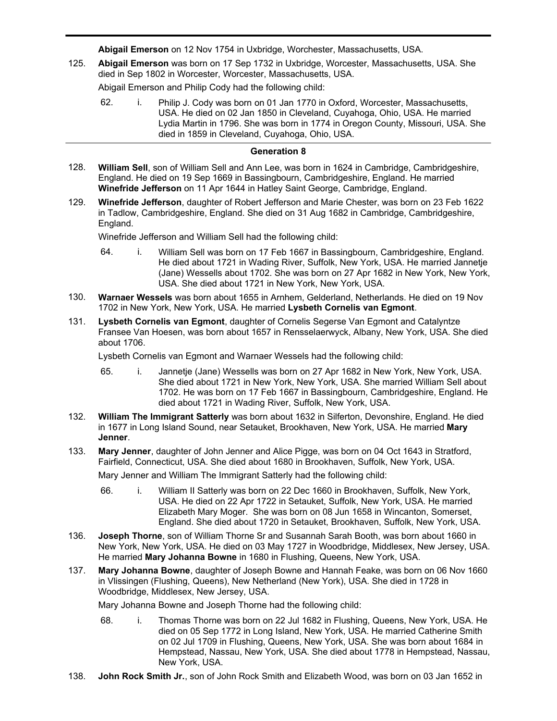Massachusetts, USA. He died in 1808 in Peru, Berkshire, Massachusetts, USA. He married **Abigail Emerson** on 12 Nov 1754 in Uxbridge, Worchester, Massachusetts, USA.

**Abigail Emerson** was born on 17 Sep 1732 in Uxbridge, Worcester, Massachusetts, USA. She died in Sep 1802 in Worcester, Worcester, Massachusetts, USA. 125.

Abigail Emerson and Philip Cody had the following child:

62. i. Philip J. Cody was born on 01 Jan 1770 in Oxford, Worcester, Massachusetts, USA. He died on 02 Jan 1850 in Cleveland, Cuyahoga, Ohio, USA. He married Lydia Martin in 1796. She was born in 1774 in Oregon County, Missouri, USA. She died in 1859 in Cleveland, Cuyahoga, Ohio, USA.

## **Generation 8**

- **William Sell**, son of William Sell and Ann Lee, was born in 1624 in Cambridge, Cambridgeshire, England. He died on 19 Sep 1669 in Bassingbourn, Cambridgeshire, England. He married **Winefride Jefferson** on 11 Apr 1644 in Hatley Saint George, Cambridge, England. 128.
- **Winefride Jefferson**, daughter of Robert Jefferson and Marie Chester, was born on 23 Feb 1622 in Tadlow, Cambridgeshire, England. She died on 31 Aug 1682 in Cambridge, Cambridgeshire, England. 129.

Winefride Jefferson and William Sell had the following child:

- 64. i. William Sell was born on 17 Feb 1667 in Bassingbourn, Cambridgeshire, England. He died about 1721 in Wading River, Suffolk, New York, USA. He married Jannetje (Jane) Wessells about 1702. She was born on 27 Apr 1682 in New York, New York, USA. She died about 1721 in New York, New York, USA.
- **Warnaer Wessels** was born about 1655 in Arnhem, Gelderland, Netherlands. He died on 19 Nov 1702 in New York, New York, USA. He married **Lysbeth Cornelis van Egmont**. 130.
- **Lysbeth Cornelis van Egmont**, daughter of Cornelis Segerse Van Egmont and Catalyntze Fransee Van Hoesen, was born about 1657 in Rensselaerwyck, Albany, New York, USA. She died about 1706. 131.

Lysbeth Cornelis van Egmont and Warnaer Wessels had the following child:

- 65. i. Jannetje (Jane) Wessells was born on 27 Apr 1682 in New York, New York, USA. She died about 1721 in New York, New York, USA. She married William Sell about 1702. He was born on 17 Feb 1667 in Bassingbourn, Cambridgeshire, England. He died about 1721 in Wading River, Suffolk, New York, USA.
- **William The Immigrant Satterly** was born about 1632 in Silferton, Devonshire, England. He died in 1677 in Long Island Sound, near Setauket, Brookhaven, New York, USA. He married **Mary Jenner**. 132.
- **Mary Jenner**, daughter of John Jenner and Alice Pigge, was born on 04 Oct 1643 in Stratford, Fairfield, Connecticut, USA. She died about 1680 in Brookhaven, Suffolk, New York, USA. 133.

Mary Jenner and William The Immigrant Satterly had the following child:

- 66. i. William II Satterly was born on 22 Dec 1660 in Brookhaven, Suffolk, New York, USA. He died on 22 Apr 1722 in Setauket, Suffolk, New York, USA. He married Elizabeth Mary Moger. She was born on 08 Jun 1658 in Wincanton, Somerset, England. She died about 1720 in Setauket, Brookhaven, Suffolk, New York, USA.
- **Joseph Thorne**, son of William Thorne Sr and Susannah Sarah Booth, was born about 1660 in New York, New York, USA. He died on 03 May 1727 in Woodbridge, Middlesex, New Jersey, USA. He married **Mary Johanna Bowne** in 1680 in Flushing, Queens, New York, USA. 136.
- **Mary Johanna Bowne**, daughter of Joseph Bowne and Hannah Feake, was born on 06 Nov 1660 in Vlissingen (Flushing, Queens), New Netherland (New York), USA. She died in 1728 in Woodbridge, Middlesex, New Jersey, USA. 137.

Mary Johanna Bowne and Joseph Thorne had the following child:

- 68. i. Thomas Thorne was born on 22 Jul 1682 in Flushing, Queens, New York, USA. He died on 05 Sep 1772 in Long Island, New York, USA. He married Catherine Smith on 02 Jul 1709 in Flushing, Queens, New York, USA. She was born about 1684 in Hempstead, Nassau, New York, USA. She died about 1778 in Hempstead, Nassau, New York, USA.
- 138. **John Rock Smith Jr.**, son of John Rock Smith and Elizabeth Wood, was born on 03 Jan 1652 in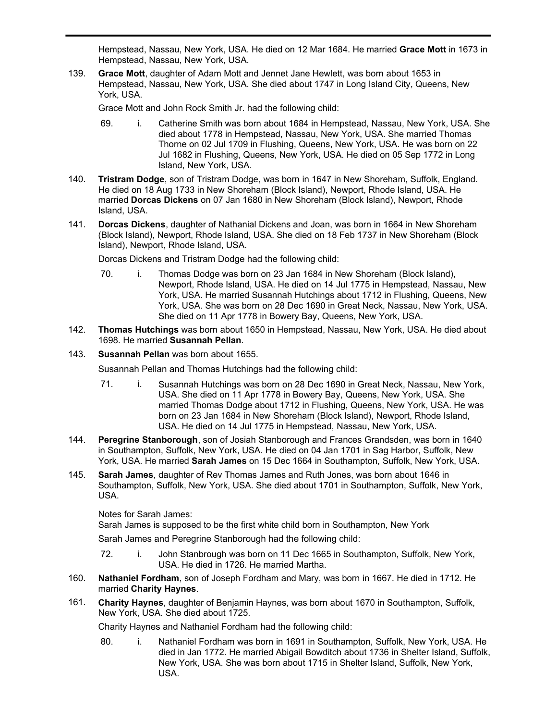**John Rock Smith Jr.**, son of John Rock Smith and Elizabeth Wood, was born on 03 Jan 1652 in Hempstead, Nassau, New York, USA. He died on 12 Mar 1684. He married **Grace Mott** in 1673 in Hempstead, Nassau, New York, USA.

**Grace Mott**, daughter of Adam Mott and Jennet Jane Hewlett, was born about 1653 in Hempstead, Nassau, New York, USA. She died about 1747 in Long Island City, Queens, New York, USA. 139.

Grace Mott and John Rock Smith Jr. had the following child:

- 69. i. Catherine Smith was born about 1684 in Hempstead, Nassau, New York, USA. She died about 1778 in Hempstead, Nassau, New York, USA. She married Thomas Thorne on 02 Jul 1709 in Flushing, Queens, New York, USA. He was born on 22 Jul 1682 in Flushing, Queens, New York, USA. He died on 05 Sep 1772 in Long Island, New York, USA.
- **Tristram Dodge**, son of Tristram Dodge, was born in 1647 in New Shoreham, Suffolk, England. He died on 18 Aug 1733 in New Shoreham (Block Island), Newport, Rhode Island, USA. He married **Dorcas Dickens** on 07 Jan 1680 in New Shoreham (Block Island), Newport, Rhode Island, USA. 140.
- **Dorcas Dickens**, daughter of Nathanial Dickens and Joan, was born in 1664 in New Shoreham (Block Island), Newport, Rhode Island, USA. She died on 18 Feb 1737 in New Shoreham (Block Island), Newport, Rhode Island, USA. 141.

Dorcas Dickens and Tristram Dodge had the following child:

- 70. i. Thomas Dodge was born on 23 Jan 1684 in New Shoreham (Block Island), Newport, Rhode Island, USA. He died on 14 Jul 1775 in Hempstead, Nassau, New York, USA. He married Susannah Hutchings about 1712 in Flushing, Queens, New York, USA. She was born on 28 Dec 1690 in Great Neck, Nassau, New York, USA. She died on 11 Apr 1778 in Bowery Bay, Queens, New York, USA.
- **Thomas Hutchings** was born about 1650 in Hempstead, Nassau, New York, USA. He died about 1698. He married **Susannah Pellan**. 142.
- 143. **Susannah Pellan** was born about 1655.

138.

Susannah Pellan and Thomas Hutchings had the following child:

- 71. i. Susannah Hutchings was born on 28 Dec 1690 in Great Neck, Nassau, New York, USA. She died on 11 Apr 1778 in Bowery Bay, Queens, New York, USA. She married Thomas Dodge about 1712 in Flushing, Queens, New York, USA. He was born on 23 Jan 1684 in New Shoreham (Block Island), Newport, Rhode Island, USA. He died on 14 Jul 1775 in Hempstead, Nassau, New York, USA.
- **Peregrine Stanborough**, son of Josiah Stanborough and Frances Grandsden, was born in 1640 in Southampton, Suffolk, New York, USA. He died on 04 Jan 1701 in Sag Harbor, Suffolk, New York, USA. He married **Sarah James** on 15 Dec 1664 in Southampton, Suffolk, New York, USA. 144.
- **Sarah James**, daughter of Rev Thomas James and Ruth Jones, was born about 1646 in Southampton, Suffolk, New York, USA. She died about 1701 in Southampton, Suffolk, New York, USA. 145.

Notes for Sarah James:

Sarah James is supposed to be the first white child born in Southampton, New York

Sarah James and Peregrine Stanborough had the following child:

- 72. i. John Stanbrough was born on 11 Dec 1665 in Southampton, Suffolk, New York, USA. He died in 1726. He married Martha.
- **Nathaniel Fordham**, son of Joseph Fordham and Mary, was born in 1667. He died in 1712. He married **Charity Haynes**. 160.
- **Charity Haynes**, daughter of Benjamin Haynes, was born about 1670 in Southampton, Suffolk, New York, USA. She died about 1725. 161.

Charity Haynes and Nathaniel Fordham had the following child:

80. i. Nathaniel Fordham was born in 1691 in Southampton, Suffolk, New York, USA. He died in Jan 1772. He married Abigail Bowditch about 1736 in Shelter Island, Suffolk, New York, USA. She was born about 1715 in Shelter Island, Suffolk, New York, USA.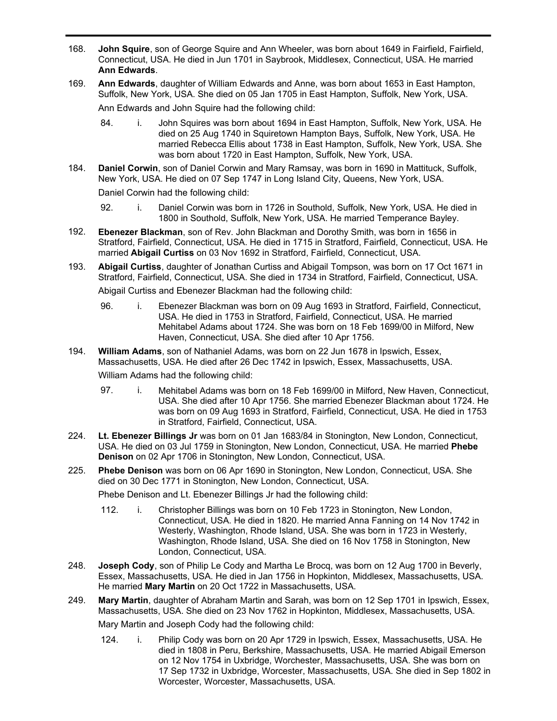- **John Squire**, son of George Squire and Ann Wheeler, was born about 1649 in Fairfield, Fairfield, Connecticut, USA. He died in Jun 1701 in Saybrook, Middlesex, Connecticut, USA. He married **Ann Edwards**. 168.
- **Ann Edwards**, daughter of William Edwards and Anne, was born about 1653 in East Hampton, Suffolk, New York, USA. She died on 05 Jan 1705 in East Hampton, Suffolk, New York, USA. 169. Ann Edwards and John Squire had the following child:
	- 84. i. John Squires was born about 1694 in East Hampton, Suffolk, New York, USA. He died on 25 Aug 1740 in Squiretown Hampton Bays, Suffolk, New York, USA. He married Rebecca Ellis about 1738 in East Hampton, Suffolk, New York, USA. She was born about 1720 in East Hampton, Suffolk, New York, USA.
- **Daniel Corwin**, son of Daniel Corwin and Mary Ramsay, was born in 1690 in Mattituck, Suffolk, New York, USA. He died on 07 Sep 1747 in Long Island City, Queens, New York, USA. 184.

Daniel Corwin had the following child:

- 92. i. Daniel Corwin was born in 1726 in Southold, Suffolk, New York, USA. He died in 1800 in Southold, Suffolk, New York, USA. He married Temperance Bayley.
- **Ebenezer Blackman**, son of Rev. John Blackman and Dorothy Smith, was born in 1656 in Stratford, Fairfield, Connecticut, USA. He died in 1715 in Stratford, Fairfield, Connecticut, USA. He married **Abigail Curtiss** on 03 Nov 1692 in Stratford, Fairfield, Connecticut, USA. 192.
- **Abigail Curtiss**, daughter of Jonathan Curtiss and Abigail Tompson, was born on 17 Oct 1671 in Stratford, Fairfield, Connecticut, USA. She died in 1734 in Stratford, Fairfield, Connecticut, USA. 193. Abigail Curtiss and Ebenezer Blackman had the following child:
	- 96. i. Ebenezer Blackman was born on 09 Aug 1693 in Stratford, Fairfield, Connecticut, USA. He died in 1753 in Stratford, Fairfield, Connecticut, USA. He married Mehitabel Adams about 1724. She was born on 18 Feb 1699/00 in Milford, New Haven, Connecticut, USA. She died after 10 Apr 1756.
- **William Adams**, son of Nathaniel Adams, was born on 22 Jun 1678 in Ipswich, Essex, Massachusetts, USA. He died after 26 Dec 1742 in Ipswich, Essex, Massachusetts, USA. 194.

William Adams had the following child:

- 97. i. Mehitabel Adams was born on 18 Feb 1699/00 in Milford, New Haven, Connecticut, USA. She died after 10 Apr 1756. She married Ebenezer Blackman about 1724. He was born on 09 Aug 1693 in Stratford, Fairfield, Connecticut, USA. He died in 1753 in Stratford, Fairfield, Connecticut, USA.
- **Lt. Ebenezer Billings Jr** was born on 01 Jan 1683/84 in Stonington, New London, Connecticut, USA. He died on 03 Jul 1759 in Stonington, New London, Connecticut, USA. He married **Phebe Denison** on 02 Apr 1706 in Stonington, New London, Connecticut, USA. 224.
- **Phebe Denison** was born on 06 Apr 1690 in Stonington, New London, Connecticut, USA. She died on 30 Dec 1771 in Stonington, New London, Connecticut, USA. 225.

Phebe Denison and Lt. Ebenezer Billings Jr had the following child:

- 112. i. Christopher Billings was born on 10 Feb 1723 in Stonington, New London, Connecticut, USA. He died in 1820. He married Anna Fanning on 14 Nov 1742 in Westerly, Washington, Rhode Island, USA. She was born in 1723 in Westerly, Washington, Rhode Island, USA. She died on 16 Nov 1758 in Stonington, New London, Connecticut, USA.
- **Joseph Cody**, son of Philip Le Cody and Martha Le Brocq, was born on 12 Aug 1700 in Beverly, Essex, Massachusetts, USA. He died in Jan 1756 in Hopkinton, Middlesex, Massachusetts, USA. He married **Mary Martin** on 20 Oct 1722 in Massachusetts, USA. 248.
- **Mary Martin**, daughter of Abraham Martin and Sarah, was born on 12 Sep 1701 in Ipswich, Essex, Massachusetts, USA. She died on 23 Nov 1762 in Hopkinton, Middlesex, Massachusetts, USA. 249.

Mary Martin and Joseph Cody had the following child:

124. i. Philip Cody was born on 20 Apr 1729 in Ipswich, Essex, Massachusetts, USA. He died in 1808 in Peru, Berkshire, Massachusetts, USA. He married Abigail Emerson on 12 Nov 1754 in Uxbridge, Worchester, Massachusetts, USA. She was born on 17 Sep 1732 in Uxbridge, Worcester, Massachusetts, USA. She died in Sep 1802 in Worcester, Worcester, Massachusetts, USA.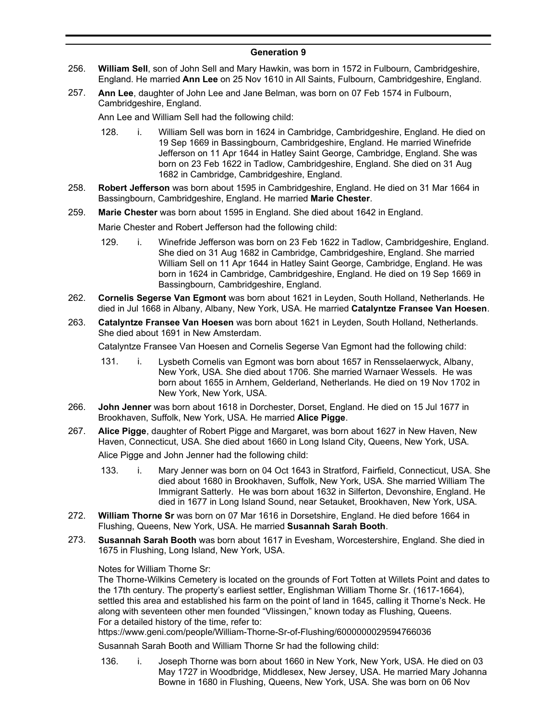## **Generation 9**

- **William Sell**, son of John Sell and Mary Hawkin, was born in 1572 in Fulbourn, Cambridgeshire, England. He married **Ann Lee** on 25 Nov 1610 in All Saints, Fulbourn, Cambridgeshire, England. 256.
- **Ann Lee**, daughter of John Lee and Jane Belman, was born on 07 Feb 1574 in Fulbourn, Cambridgeshire, England. 257.

Ann Lee and William Sell had the following child:

- 128. i. William Sell was born in 1624 in Cambridge, Cambridgeshire, England. He died on 19 Sep 1669 in Bassingbourn, Cambridgeshire, England. He married Winefride Jefferson on 11 Apr 1644 in Hatley Saint George, Cambridge, England. She was born on 23 Feb 1622 in Tadlow, Cambridgeshire, England. She died on 31 Aug 1682 in Cambridge, Cambridgeshire, England.
- **Robert Jefferson** was born about 1595 in Cambridgeshire, England. He died on 31 Mar 1664 in Bassingbourn, Cambridgeshire, England. He married **Marie Chester**. 258.
- 259. **Marie Chester** was born about 1595 in England. She died about 1642 in England.

Marie Chester and Robert Jefferson had the following child:

- 129. i. Winefride Jefferson was born on 23 Feb 1622 in Tadlow, Cambridgeshire, England. She died on 31 Aug 1682 in Cambridge, Cambridgeshire, England. She married William Sell on 11 Apr 1644 in Hatley Saint George, Cambridge, England. He was born in 1624 in Cambridge, Cambridgeshire, England. He died on 19 Sep 1669 in Bassingbourn, Cambridgeshire, England.
- **Cornelis Segerse Van Egmont** was born about 1621 in Leyden, South Holland, Netherlands. He died in Jul 1668 in Albany, Albany, New York, USA. He married **Catalyntze Fransee Van Hoesen**. 262.
- **Catalyntze Fransee Van Hoesen** was born about 1621 in Leyden, South Holland, Netherlands. She died about 1691 in New Amsterdam. 263.

Catalyntze Fransee Van Hoesen and Cornelis Segerse Van Egmont had the following child:

- 131. i. Lysbeth Cornelis van Egmont was born about 1657 in Rensselaerwyck, Albany, New York, USA. She died about 1706. She married Warnaer Wessels. He was born about 1655 in Arnhem, Gelderland, Netherlands. He died on 19 Nov 1702 in New York, New York, USA.
- **John Jenner** was born about 1618 in Dorchester, Dorset, England. He died on 15 Jul 1677 in Brookhaven, Suffolk, New York, USA. He married **Alice Pigge**. 266.
- **Alice Pigge**, daughter of Robert Pigge and Margaret, was born about 1627 in New Haven, New Haven, Connecticut, USA. She died about 1660 in Long Island City, Queens, New York, USA. 267.

Alice Pigge and John Jenner had the following child:

- 133. i. Mary Jenner was born on 04 Oct 1643 in Stratford, Fairfield, Connecticut, USA. She died about 1680 in Brookhaven, Suffolk, New York, USA. She married William The Immigrant Satterly. He was born about 1632 in Silferton, Devonshire, England. He died in 1677 in Long Island Sound, near Setauket, Brookhaven, New York, USA.
- **William Thorne Sr** was born on 07 Mar 1616 in Dorsetshire, England. He died before 1664 in Flushing, Queens, New York, USA. He married **Susannah Sarah Booth**. 272.
- **Susannah Sarah Booth** was born about 1617 in Evesham, Worcestershire, England. She died in 1675 in Flushing, Long Island, New York, USA. 273.

### Notes for William Thorne Sr:

The Thorne-Wilkins Cemetery is located on the grounds of Fort Totten at Willets Point and dates to the 17th century. The property's earliest settler, Englishman William Thorne Sr. (1617-1664), settled this area and established his farm on the point of land in 1645, calling it Thorne's Neck. He along with seventeen other men founded "Vlissingen," known today as Flushing, Queens. For a detailed history of the time, refer to:

https://www.geni.com/people/William-Thorne-Sr-of-Flushing/6000000029594766036

Susannah Sarah Booth and William Thorne Sr had the following child:

136. i. Joseph Thorne was born about 1660 in New York, New York, USA. He died on 03 May 1727 in Woodbridge, Middlesex, New Jersey, USA. He married Mary Johanna Bowne in 1680 in Flushing, Queens, New York, USA. She was born on 06 Nov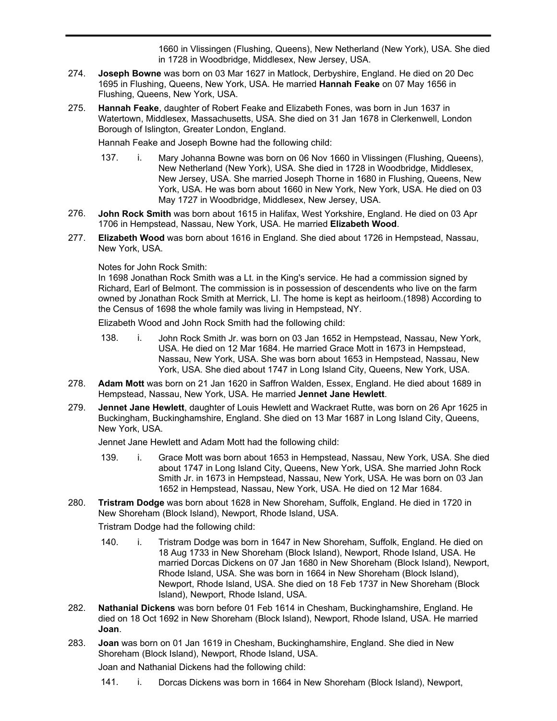1660 in Vlissingen (Flushing, Queens), New Netherland (New York), USA. She died in 1728 in Woodbridge, Middlesex, New Jersey, USA.

Bowne in 1680 in Flushing, Queens, New York, USA. She was born on 06 Nov

- **Joseph Bowne** was born on 03 Mar 1627 in Matlock, Derbyshire, England. He died on 20 Dec 1695 in Flushing, Queens, New York, USA. He married **Hannah Feake** on 07 May 1656 in Flushing, Queens, New York, USA. 274.
- **Hannah Feake**, daughter of Robert Feake and Elizabeth Fones, was born in Jun 1637 in Watertown, Middlesex, Massachusetts, USA. She died on 31 Jan 1678 in Clerkenwell, London Borough of Islington, Greater London, England. 275.

Hannah Feake and Joseph Bowne had the following child:

- 137. i. Mary Johanna Bowne was born on 06 Nov 1660 in Vlissingen (Flushing, Queens), New Netherland (New York), USA. She died in 1728 in Woodbridge, Middlesex, New Jersey, USA. She married Joseph Thorne in 1680 in Flushing, Queens, New York, USA. He was born about 1660 in New York, New York, USA. He died on 03 May 1727 in Woodbridge, Middlesex, New Jersey, USA.
- **John Rock Smith** was born about 1615 in Halifax, West Yorkshire, England. He died on 03 Apr 1706 in Hempstead, Nassau, New York, USA. He married **Elizabeth Wood**. 276.
- **Elizabeth Wood** was born about 1616 in England. She died about 1726 in Hempstead, Nassau, New York, USA. 277.

### Notes for John Rock Smith:

In 1698 Jonathan Rock Smith was a Lt. in the King's service. He had a commission signed by Richard, Earl of Belmont. The commission is in possession of descendents who live on the farm owned by Jonathan Rock Smith at Merrick, LI. The home is kept as heirloom.(1898) According to the Census of 1698 the whole family was living in Hempstead, NY.

Elizabeth Wood and John Rock Smith had the following child:

- 138. i. John Rock Smith Jr. was born on 03 Jan 1652 in Hempstead, Nassau, New York, USA. He died on 12 Mar 1684. He married Grace Mott in 1673 in Hempstead, Nassau, New York, USA. She was born about 1653 in Hempstead, Nassau, New York, USA. She died about 1747 in Long Island City, Queens, New York, USA.
- **Adam Mott** was born on 21 Jan 1620 in Saffron Walden, Essex, England. He died about 1689 in Hempstead, Nassau, New York, USA. He married **Jennet Jane Hewlett**. 278.
- **Jennet Jane Hewlett**, daughter of Louis Hewlett and Wackraet Rutte, was born on 26 Apr 1625 in Buckingham, Buckinghamshire, England. She died on 13 Mar 1687 in Long Island City, Queens, New York, USA. 279.

Jennet Jane Hewlett and Adam Mott had the following child:

- 139. i. Grace Mott was born about 1653 in Hempstead, Nassau, New York, USA. She died about 1747 in Long Island City, Queens, New York, USA. She married John Rock Smith Jr. in 1673 in Hempstead, Nassau, New York, USA. He was born on 03 Jan 1652 in Hempstead, Nassau, New York, USA. He died on 12 Mar 1684.
- **Tristram Dodge** was born about 1628 in New Shoreham, Suffolk, England. He died in 1720 in New Shoreham (Block Island), Newport, Rhode Island, USA. 280.

Tristram Dodge had the following child:

- 140. i. Tristram Dodge was born in 1647 in New Shoreham, Suffolk, England. He died on 18 Aug 1733 in New Shoreham (Block Island), Newport, Rhode Island, USA. He married Dorcas Dickens on 07 Jan 1680 in New Shoreham (Block Island), Newport, Rhode Island, USA. She was born in 1664 in New Shoreham (Block Island), Newport, Rhode Island, USA. She died on 18 Feb 1737 in New Shoreham (Block Island), Newport, Rhode Island, USA.
- **Nathanial Dickens** was born before 01 Feb 1614 in Chesham, Buckinghamshire, England. He died on 18 Oct 1692 in New Shoreham (Block Island), Newport, Rhode Island, USA. He married **Joan**. 282.
- **Joan** was born on 01 Jan 1619 in Chesham, Buckinghamshire, England. She died in New Shoreham (Block Island), Newport, Rhode Island, USA. 283.

Joan and Nathanial Dickens had the following child:

141. i. Dorcas Dickens was born in 1664 in New Shoreham (Block Island), Newport,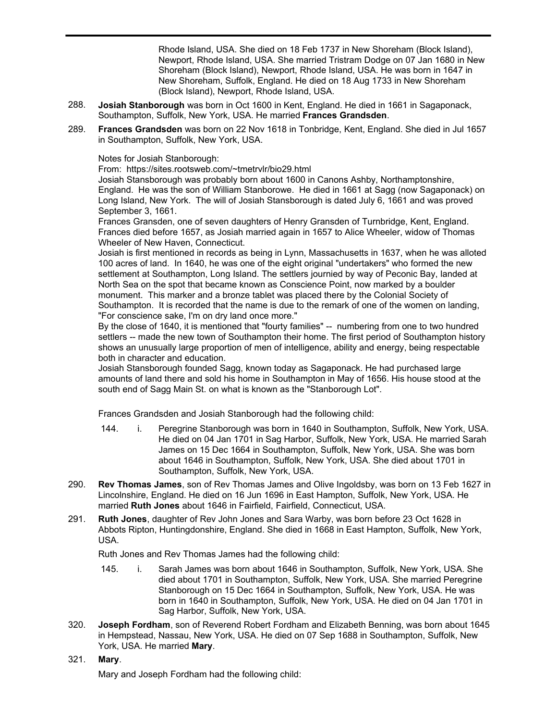141. i. Dorcas Dickens was born in 1664 in New Shoreham (Block Island), Newport, Rhode Island, USA. She died on 18 Feb 1737 in New Shoreham (Block Island), Newport, Rhode Island, USA. She married Tristram Dodge on 07 Jan 1680 in New Shoreham (Block Island), Newport, Rhode Island, USA. He was born in 1647 in New Shoreham, Suffolk, England. He died on 18 Aug 1733 in New Shoreham (Block Island), Newport, Rhode Island, USA.

- **Josiah Stanborough** was born in Oct 1600 in Kent, England. He died in 1661 in Sagaponack, Southampton, Suffolk, New York, USA. He married **Frances Grandsden**. 288.
- **Frances Grandsden** was born on 22 Nov 1618 in Tonbridge, Kent, England. She died in Jul 1657 in Southampton, Suffolk, New York, USA. 289.

Notes for Josiah Stanborough:

From: https://sites.rootsweb.com/~tmetrvlr/bio29.html

Josiah Stansborough was probably born about 1600 in Canons Ashby, Northamptonshire, England. He was the son of William Stanborowe. He died in 1661 at Sagg (now Sagaponack) on Long Island, New York. The will of Josiah Stansborough is dated July 6, 1661 and was proved September 3, 1661.

Frances Gransden, one of seven daughters of Henry Gransden of Turnbridge, Kent, England. Frances died before 1657, as Josiah married again in 1657 to Alice Wheeler, widow of Thomas Wheeler of New Haven, Connecticut.

Josiah is first mentioned in records as being in Lynn, Massachusetts in 1637, when he was alloted 100 acres of land. In 1640, he was one of the eight original "undertakers" who formed the new settlement at Southampton, Long Island. The settlers journied by way of Peconic Bay, landed at North Sea on the spot that became known as Conscience Point, now marked by a boulder monument. This marker and a bronze tablet was placed there by the Colonial Society of Southampton. It is recorded that the name is due to the remark of one of the women on landing, "For conscience sake, I'm on dry land once more."

By the close of 1640, it is mentioned that "fourty families" -- numbering from one to two hundred settlers -- made the new town of Southampton their home. The first period of Southampton history shows an unusually large proportion of men of intelligence, ability and energy, being respectable both in character and education.

Josiah Stansborough founded Sagg, known today as Sagaponack. He had purchased large amounts of land there and sold his home in Southampton in May of 1656. His house stood at the south end of Sagg Main St. on what is known as the "Stanborough Lot".

Frances Grandsden and Josiah Stanborough had the following child:

- 144. i. Peregrine Stanborough was born in 1640 in Southampton, Suffolk, New York, USA. He died on 04 Jan 1701 in Sag Harbor, Suffolk, New York, USA. He married Sarah James on 15 Dec 1664 in Southampton, Suffolk, New York, USA. She was born about 1646 in Southampton, Suffolk, New York, USA. She died about 1701 in Southampton, Suffolk, New York, USA.
- **Rev Thomas James**, son of Rev Thomas James and Olive Ingoldsby, was born on 13 Feb 1627 in Lincolnshire, England. He died on 16 Jun 1696 in East Hampton, Suffolk, New York, USA. He married **Ruth Jones** about 1646 in Fairfield, Fairfield, Connecticut, USA. 290.
- **Ruth Jones**, daughter of Rev John Jones and Sara Warby, was born before 23 Oct 1628 in Abbots Ripton, Huntingdonshire, England. She died in 1668 in East Hampton, Suffolk, New York, USA. 291.

Ruth Jones and Rev Thomas James had the following child:

- 145. i. Sarah James was born about 1646 in Southampton, Suffolk, New York, USA. She died about 1701 in Southampton, Suffolk, New York, USA. She married Peregrine Stanborough on 15 Dec 1664 in Southampton, Suffolk, New York, USA. He was born in 1640 in Southampton, Suffolk, New York, USA. He died on 04 Jan 1701 in Sag Harbor, Suffolk, New York, USA.
- **Joseph Fordham**, son of Reverend Robert Fordham and Elizabeth Benning, was born about 1645 in Hempstead, Nassau, New York, USA. He died on 07 Sep 1688 in Southampton, Suffolk, New York, USA. He married **Mary**. 320.
- 321. **Mary**.

Mary and Joseph Fordham had the following child: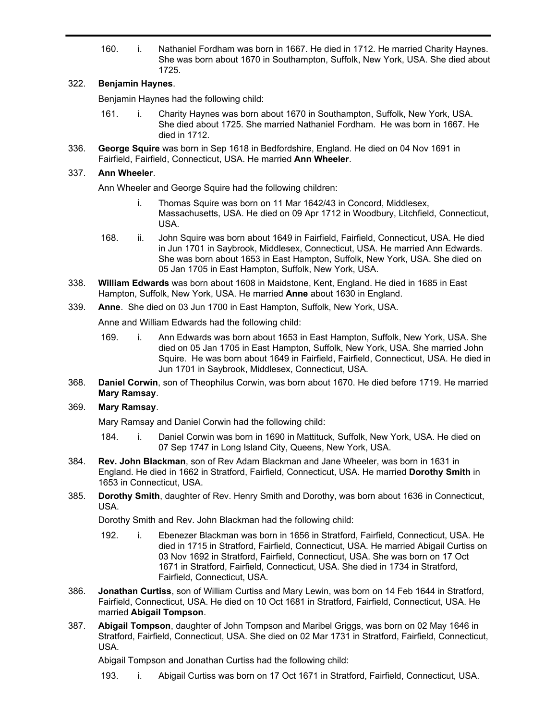160. i. Nathaniel Fordham was born in 1667. He died in 1712. He married Charity Haynes. She was born about 1670 in Southampton, Suffolk, New York, USA. She died about 1725.

# 322. **Benjamin Haynes**.

Benjamin Haynes had the following child:

- 161. i. Charity Haynes was born about 1670 in Southampton, Suffolk, New York, USA. She died about 1725. She married Nathaniel Fordham. He was born in 1667. He died in 1712.
- **George Squire** was born in Sep 1618 in Bedfordshire, England. He died on 04 Nov 1691 in Fairfield, Fairfield, Connecticut, USA. He married **Ann Wheeler**. 336.

# 337. **Ann Wheeler**.

Ann Wheeler and George Squire had the following children:

- i. Thomas Squire was born on 11 Mar 1642/43 in Concord, Middlesex, Massachusetts, USA. He died on 09 Apr 1712 in Woodbury, Litchfield, Connecticut, USA.
- 168. ii. John Squire was born about 1649 in Fairfield, Fairfield, Connecticut, USA. He died in Jun 1701 in Saybrook, Middlesex, Connecticut, USA. He married Ann Edwards. She was born about 1653 in East Hampton, Suffolk, New York, USA. She died on 05 Jan 1705 in East Hampton, Suffolk, New York, USA.
- **William Edwards** was born about 1608 in Maidstone, Kent, England. He died in 1685 in East Hampton, Suffolk, New York, USA. He married **Anne** about 1630 in England. 338.
- 339. **Anne**. She died on 03 Jun 1700 in East Hampton, Suffolk, New York, USA.

Anne and William Edwards had the following child:

- 169. i. Ann Edwards was born about 1653 in East Hampton, Suffolk, New York, USA. She died on 05 Jan 1705 in East Hampton, Suffolk, New York, USA. She married John Squire. He was born about 1649 in Fairfield, Fairfield, Connecticut, USA. He died in Jun 1701 in Saybrook, Middlesex, Connecticut, USA.
- **Daniel Corwin**, son of Theophilus Corwin, was born about 1670. He died before 1719. He married **Mary Ramsay**. 368.

# 369. **Mary Ramsay**.

Mary Ramsay and Daniel Corwin had the following child:

- 184. i. Daniel Corwin was born in 1690 in Mattituck, Suffolk, New York, USA. He died on 07 Sep 1747 in Long Island City, Queens, New York, USA.
- **Rev. John Blackman**, son of Rev Adam Blackman and Jane Wheeler, was born in 1631 in England. He died in 1662 in Stratford, Fairfield, Connecticut, USA. He married **Dorothy Smith** in 1653 in Connecticut, USA. 384.
- **Dorothy Smith**, daughter of Rev. Henry Smith and Dorothy, was born about 1636 in Connecticut, USA. 385.

Dorothy Smith and Rev. John Blackman had the following child:

- 192. i. Ebenezer Blackman was born in 1656 in Stratford, Fairfield, Connecticut, USA. He died in 1715 in Stratford, Fairfield, Connecticut, USA. He married Abigail Curtiss on 03 Nov 1692 in Stratford, Fairfield, Connecticut, USA. She was born on 17 Oct 1671 in Stratford, Fairfield, Connecticut, USA. She died in 1734 in Stratford, Fairfield, Connecticut, USA.
- **Jonathan Curtiss**, son of William Curtiss and Mary Lewin, was born on 14 Feb 1644 in Stratford, Fairfield, Connecticut, USA. He died on 10 Oct 1681 in Stratford, Fairfield, Connecticut, USA. He married **Abigail Tompson**. 386.
- **Abigail Tompson**, daughter of John Tompson and Maribel Griggs, was born on 02 May 1646 in Stratford, Fairfield, Connecticut, USA. She died on 02 Mar 1731 in Stratford, Fairfield, Connecticut, USA. 387.

Abigail Tompson and Jonathan Curtiss had the following child:

193. i. Abigail Curtiss was born on 17 Oct 1671 in Stratford, Fairfield, Connecticut, USA.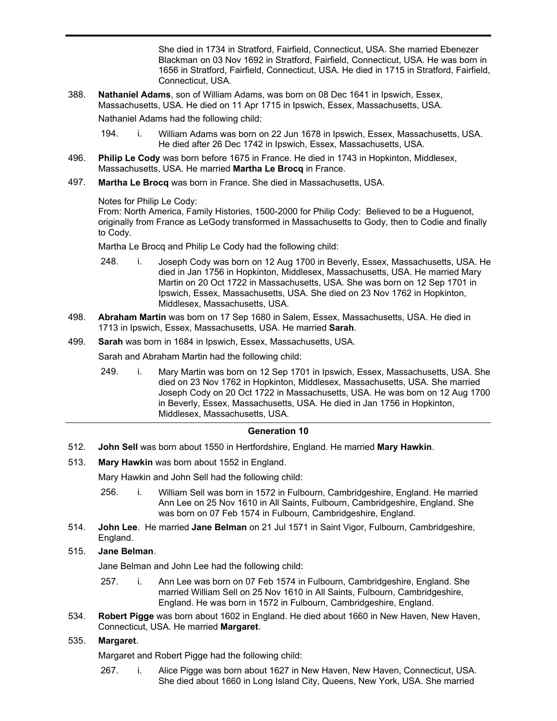193. i. Abigail Curtiss was born on 17 Oct 1671 in Stratford, Fairfield, Connecticut, USA. She died in 1734 in Stratford, Fairfield, Connecticut, USA. She married Ebenezer Blackman on 03 Nov 1692 in Stratford, Fairfield, Connecticut, USA. He was born in 1656 in Stratford, Fairfield, Connecticut, USA. He died in 1715 in Stratford, Fairfield, Connecticut, USA.

**Nathaniel Adams**, son of William Adams, was born on 08 Dec 1641 in Ipswich, Essex, Massachusetts, USA. He died on 11 Apr 1715 in Ipswich, Essex, Massachusetts, USA. 388.

Nathaniel Adams had the following child:

- 194. i. William Adams was born on 22 Jun 1678 in Ipswich, Essex, Massachusetts, USA. He died after 26 Dec 1742 in Ipswich, Essex, Massachusetts, USA.
- **Philip Le Cody** was born before 1675 in France. He died in 1743 in Hopkinton, Middlesex, Massachusetts, USA. He married **Martha Le Brocq** in France. 496.
- **Martha Le Brocq** was born in France. She died in Massachusetts, USA. 497.

### Notes for Philip Le Cody:

From: North America, Family Histories, 1500-2000 for Philip Cody: Believed to be a Huguenot, originally from France as LeGody transformed in Massachusetts to Gody, then to Codie and finally to Cody.

Martha Le Brocq and Philip Le Cody had the following child:

- 248. i. Joseph Cody was born on 12 Aug 1700 in Beverly, Essex, Massachusetts, USA. He died in Jan 1756 in Hopkinton, Middlesex, Massachusetts, USA. He married Mary Martin on 20 Oct 1722 in Massachusetts, USA. She was born on 12 Sep 1701 in Ipswich, Essex, Massachusetts, USA. She died on 23 Nov 1762 in Hopkinton, Middlesex, Massachusetts, USA.
- **Abraham Martin** was born on 17 Sep 1680 in Salem, Essex, Massachusetts, USA. He died in 1713 in Ipswich, Essex, Massachusetts, USA. He married **Sarah**. 498.
- 499. **Sarah** was born in 1684 in Ipswich, Essex, Massachusetts, USA.

Sarah and Abraham Martin had the following child:

249. i. Mary Martin was born on 12 Sep 1701 in Ipswich, Essex, Massachusetts, USA. She died on 23 Nov 1762 in Hopkinton, Middlesex, Massachusetts, USA. She married Joseph Cody on 20 Oct 1722 in Massachusetts, USA. He was born on 12 Aug 1700 in Beverly, Essex, Massachusetts, USA. He died in Jan 1756 in Hopkinton, Middlesex, Massachusetts, USA.

### **Generation 10**

- 512. **John Sell** was born about 1550 in Hertfordshire, England. He married **Mary Hawkin**.
- 513. **Mary Hawkin** was born about 1552 in England.

Mary Hawkin and John Sell had the following child:

- 256. i. William Sell was born in 1572 in Fulbourn, Cambridgeshire, England. He married Ann Lee on 25 Nov 1610 in All Saints, Fulbourn, Cambridgeshire, England. She was born on 07 Feb 1574 in Fulbourn, Cambridgeshire, England.
- **John Lee**. He married **Jane Belman** on 21 Jul 1571 in Saint Vigor, Fulbourn, Cambridgeshire, England. 514.

### 515. **Jane Belman**.

Jane Belman and John Lee had the following child:

- 257. i. Ann Lee was born on 07 Feb 1574 in Fulbourn, Cambridgeshire, England. She married William Sell on 25 Nov 1610 in All Saints, Fulbourn, Cambridgeshire, England. He was born in 1572 in Fulbourn, Cambridgeshire, England.
- **Robert Pigge** was born about 1602 in England. He died about 1660 in New Haven, New Haven, Connecticut, USA. He married **Margaret**. 534.

## 535. **Margaret**.

Margaret and Robert Pigge had the following child:

267. i. Alice Pigge was born about 1627 in New Haven, New Haven, Connecticut, USA. She died about 1660 in Long Island City, Queens, New York, USA. She married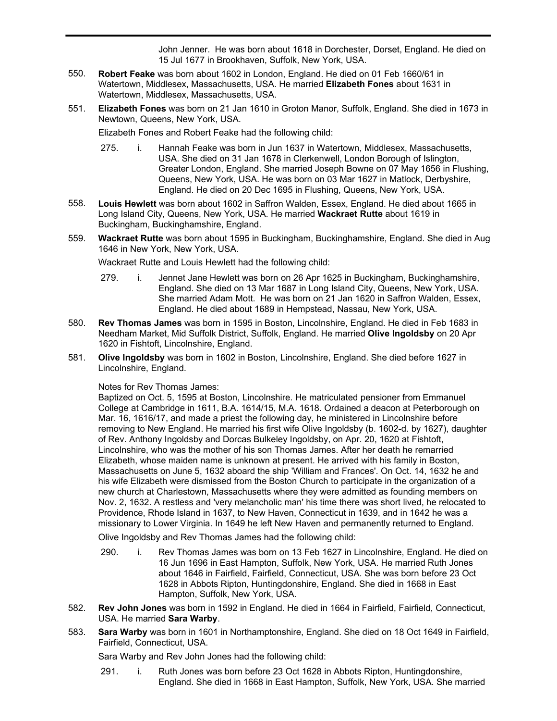She died about 1660 in Long Island City, Queens, New York, USA. She married John Jenner. He was born about 1618 in Dorchester, Dorset, England. He died on 15 Jul 1677 in Brookhaven, Suffolk, New York, USA.

- **Robert Feake** was born about 1602 in London, England. He died on 01 Feb 1660/61 in Watertown, Middlesex, Massachusetts, USA. He married **Elizabeth Fones** about 1631 in Watertown, Middlesex, Massachusetts, USA. 550.
- **Elizabeth Fones** was born on 21 Jan 1610 in Groton Manor, Suffolk, England. She died in 1673 in Newtown, Queens, New York, USA. 551.

Elizabeth Fones and Robert Feake had the following child:

- 275. i. Hannah Feake was born in Jun 1637 in Watertown, Middlesex, Massachusetts, USA. She died on 31 Jan 1678 in Clerkenwell, London Borough of Islington, Greater London, England. She married Joseph Bowne on 07 May 1656 in Flushing, Queens, New York, USA. He was born on 03 Mar 1627 in Matlock, Derbyshire, England. He died on 20 Dec 1695 in Flushing, Queens, New York, USA.
- **Louis Hewlett** was born about 1602 in Saffron Walden, Essex, England. He died about 1665 in Long Island City, Queens, New York, USA. He married **Wackraet Rutte** about 1619 in Buckingham, Buckinghamshire, England. 558.
- **Wackraet Rutte** was born about 1595 in Buckingham, Buckinghamshire, England. She died in Aug 1646 in New York, New York, USA. 559.

Wackraet Rutte and Louis Hewlett had the following child:

- 279. i. Jennet Jane Hewlett was born on 26 Apr 1625 in Buckingham, Buckinghamshire, England. She died on 13 Mar 1687 in Long Island City, Queens, New York, USA. She married Adam Mott. He was born on 21 Jan 1620 in Saffron Walden, Essex, England. He died about 1689 in Hempstead, Nassau, New York, USA.
- **Rev Thomas James** was born in 1595 in Boston, Lincolnshire, England. He died in Feb 1683 in Needham Market, Mid Suffolk District, Suffolk, England. He married **Olive Ingoldsby** on 20 Apr 1620 in Fishtoft, Lincolnshire, England. 580.
- **Olive Ingoldsby** was born in 1602 in Boston, Lincolnshire, England. She died before 1627 in Lincolnshire, England. 581.

#### Notes for Rev Thomas James:

Baptized on Oct. 5, 1595 at Boston, Lincolnshire. He matriculated pensioner from Emmanuel College at Cambridge in 1611, B.A. 1614/15, M.A. 1618. Ordained a deacon at Peterborough on Mar. 16, 1616/17, and made a priest the following day, he ministered in Lincolnshire before removing to New England. He married his first wife Olive Ingoldsby (b. 1602-d. by 1627), daughter of Rev. Anthony Ingoldsby and Dorcas Bulkeley Ingoldsby, on Apr. 20, 1620 at Fishtoft, Lincolnshire, who was the mother of his son Thomas James. After her death he remarried Elizabeth, whose maiden name is unknown at present. He arrived with his family in Boston, Massachusetts on June 5, 1632 aboard the ship 'William and Frances'. On Oct. 14, 1632 he and his wife Elizabeth were dismissed from the Boston Church to participate in the organization of a new church at Charlestown, Massachusetts where they were admitted as founding members on Nov. 2, 1632. A restless and 'very melancholic man' his time there was short lived, he relocated to Providence, Rhode Island in 1637, to New Haven, Connecticut in 1639, and in 1642 he was a missionary to Lower Virginia. In 1649 he left New Haven and permanently returned to England.

Olive Ingoldsby and Rev Thomas James had the following child:

- 290. i. Rev Thomas James was born on 13 Feb 1627 in Lincolnshire, England. He died on 16 Jun 1696 in East Hampton, Suffolk, New York, USA. He married Ruth Jones about 1646 in Fairfield, Fairfield, Connecticut, USA. She was born before 23 Oct 1628 in Abbots Ripton, Huntingdonshire, England. She died in 1668 in East Hampton, Suffolk, New York, USA.
- **Rev John Jones** was born in 1592 in England. He died in 1664 in Fairfield, Fairfield, Connecticut, USA. He married **Sara Warby**. 582.
- **Sara Warby** was born in 1601 in Northamptonshire, England. She died on 18 Oct 1649 in Fairfield, Fairfield, Connecticut, USA. 583.

Sara Warby and Rev John Jones had the following child:

291. i. Ruth Jones was born before 23 Oct 1628 in Abbots Ripton, Huntingdonshire, England. She died in 1668 in East Hampton, Suffolk, New York, USA. She married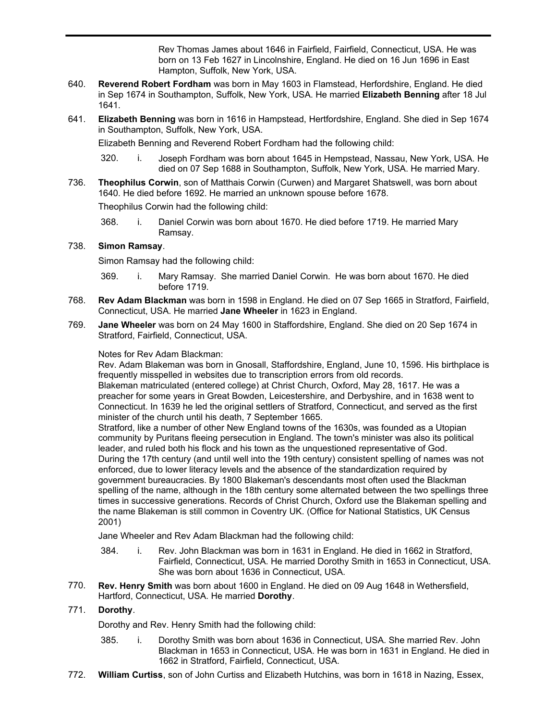England. She died in 1668 in East Hampton, Suffolk, New York, USA. She married Rev Thomas James about 1646 in Fairfield, Fairfield, Connecticut, USA. He was born on 13 Feb 1627 in Lincolnshire, England. He died on 16 Jun 1696 in East Hampton, Suffolk, New York, USA.

- **Reverend Robert Fordham** was born in May 1603 in Flamstead, Herfordshire, England. He died in Sep 1674 in Southampton, Suffolk, New York, USA. He married **Elizabeth Benning** after 18 Jul 1641. 640.
- **Elizabeth Benning** was born in 1616 in Hampstead, Hertfordshire, England. She died in Sep 1674 in Southampton, Suffolk, New York, USA. 641.

Elizabeth Benning and Reverend Robert Fordham had the following child:

- 320. i. Joseph Fordham was born about 1645 in Hempstead, Nassau, New York, USA. He died on 07 Sep 1688 in Southampton, Suffolk, New York, USA. He married Mary.
- **Theophilus Corwin**, son of Matthais Corwin (Curwen) and Margaret Shatswell, was born about 1640. He died before 1692. He married an unknown spouse before 1678. 736.

Theophilus Corwin had the following child:

368. i. Daniel Corwin was born about 1670. He died before 1719. He married Mary Ramsay.

## 738. **Simon Ramsay**.

Simon Ramsay had the following child:

- 369. i. Mary Ramsay. She married Daniel Corwin. He was born about 1670. He died before 1719.
- **Rev Adam Blackman** was born in 1598 in England. He died on 07 Sep 1665 in Stratford, Fairfield, Connecticut, USA. He married **Jane Wheeler** in 1623 in England. 768.
- **Jane Wheeler** was born on 24 May 1600 in Staffordshire, England. She died on 20 Sep 1674 in Stratford, Fairfield, Connecticut, USA. 769.

### Notes for Rev Adam Blackman:

Rev. Adam Blakeman was born in Gnosall, Staffordshire, England, June 10, 1596. His birthplace is frequently misspelled in websites due to transcription errors from old records.

Blakeman matriculated (entered college) at Christ Church, Oxford, May 28, 1617. He was a preacher for some years in Great Bowden, Leicestershire, and Derbyshire, and in 1638 went to Connecticut. In 1639 he led the original settlers of Stratford, Connecticut, and served as the first minister of the church until his death, 7 September 1665.

Stratford, like a number of other New England towns of the 1630s, was founded as a Utopian community by Puritans fleeing persecution in England. The town's minister was also its political leader, and ruled both his flock and his town as the unquestioned representative of God. During the 17th century (and until well into the 19th century) consistent spelling of names was not enforced, due to lower literacy levels and the absence of the standardization required by government bureaucracies. By 1800 Blakeman's descendants most often used the Blackman spelling of the name, although in the 18th century some alternated between the two spellings three times in successive generations. Records of Christ Church, Oxford use the Blakeman spelling and the name Blakeman is still common in Coventry UK. (Office for National Statistics, UK Census 2001)

Jane Wheeler and Rev Adam Blackman had the following child:

- 384. i. Rev. John Blackman was born in 1631 in England. He died in 1662 in Stratford, Fairfield, Connecticut, USA. He married Dorothy Smith in 1653 in Connecticut, USA. She was born about 1636 in Connecticut, USA.
- **Rev. Henry Smith** was born about 1600 in England. He died on 09 Aug 1648 in Wethersfield, Hartford, Connecticut, USA. He married **Dorothy**. 770.

### 771. **Dorothy**.

Dorothy and Rev. Henry Smith had the following child:

- 385. i. Dorothy Smith was born about 1636 in Connecticut, USA. She married Rev. John Blackman in 1653 in Connecticut, USA. He was born in 1631 in England. He died in 1662 in Stratford, Fairfield, Connecticut, USA.
- 772. **William Curtiss**, son of John Curtiss and Elizabeth Hutchins, was born in 1618 in Nazing, Essex,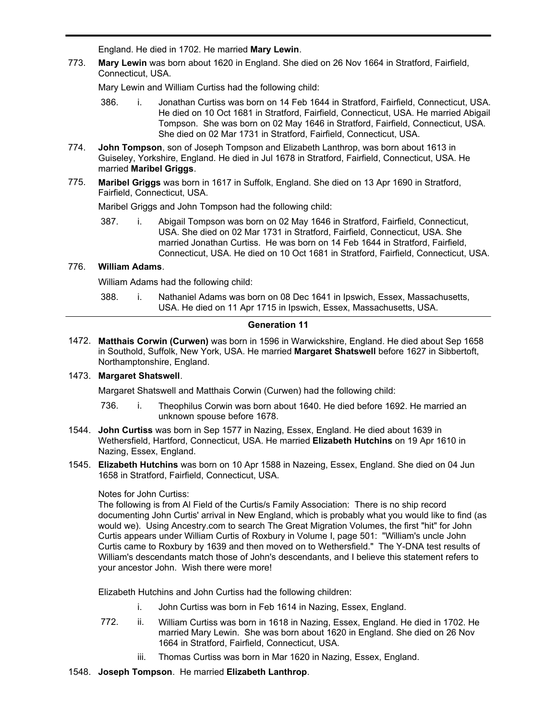England. He died in 1702. He married **Mary Lewin**.

**Mary Lewin** was born about 1620 in England. She died on 26 Nov 1664 in Stratford, Fairfield, Connecticut, USA. 773.

Mary Lewin and William Curtiss had the following child:

386. i. Jonathan Curtiss was born on 14 Feb 1644 in Stratford, Fairfield, Connecticut, USA. He died on 10 Oct 1681 in Stratford, Fairfield, Connecticut, USA. He married Abigail Tompson. She was born on 02 May 1646 in Stratford, Fairfield, Connecticut, USA. She died on 02 Mar 1731 in Stratford, Fairfield, Connecticut, USA.

**William Curtiss**, son of John Curtiss and Elizabeth Hutchins, was born in 1618 in Nazing, Essex,

- **John Tompson**, son of Joseph Tompson and Elizabeth Lanthrop, was born about 1613 in Guiseley, Yorkshire, England. He died in Jul 1678 in Stratford, Fairfield, Connecticut, USA. He married **Maribel Griggs**. 774.
- **Maribel Griggs** was born in 1617 in Suffolk, England. She died on 13 Apr 1690 in Stratford, Fairfield, Connecticut, USA. 775.

Maribel Griggs and John Tompson had the following child:

387. i. Abigail Tompson was born on 02 May 1646 in Stratford, Fairfield, Connecticut, USA. She died on 02 Mar 1731 in Stratford, Fairfield, Connecticut, USA. She married Jonathan Curtiss. He was born on 14 Feb 1644 in Stratford, Fairfield, Connecticut, USA. He died on 10 Oct 1681 in Stratford, Fairfield, Connecticut, USA.

## 776. **William Adams**.

772.

William Adams had the following child:

388. i. Nathaniel Adams was born on 08 Dec 1641 in Ipswich, Essex, Massachusetts, USA. He died on 11 Apr 1715 in Ipswich, Essex, Massachusetts, USA.

### **Generation 11**

**Matthais Corwin (Curwen)** was born in 1596 in Warwickshire, England. He died about Sep 1658 1472. in Southold, Suffolk, New York, USA. He married **Margaret Shatswell** before 1627 in Sibbertoft, Northamptonshire, England.

### 1473. **Margaret Shatswell**.

Margaret Shatswell and Matthais Corwin (Curwen) had the following child:

- 736. i. Theophilus Corwin was born about 1640. He died before 1692. He married an unknown spouse before 1678.
- **John Curtiss** was born in Sep 1577 in Nazing, Essex, England. He died about 1639 in 1544. Wethersfield, Hartford, Connecticut, USA. He married **Elizabeth Hutchins** on 19 Apr 1610 in Nazing, Essex, England.
- **Elizabeth Hutchins** was born on 10 Apr 1588 in Nazeing, Essex, England. She died on 04 Jun 1545. 1658 in Stratford, Fairfield, Connecticut, USA.

### Notes for John Curtiss:

The following is from Al Field of the Curtis/s Family Association: There is no ship record documenting John Curtis' arrival in New England, which is probably what you would like to find (as would we). Using Ancestry.com to search The Great Migration Volumes, the first "hit" for John Curtis appears under William Curtis of Roxbury in Volume I, page 501: "William's uncle John Curtis came to Roxbury by 1639 and then moved on to Wethersfield." The Y-DNA test results of William's descendants match those of John's descendants, and I believe this statement refers to your ancestor John. Wish there were more!

Elizabeth Hutchins and John Curtiss had the following children:

- i. John Curtiss was born in Feb 1614 in Nazing, Essex, England.
- 772. ii. William Curtiss was born in 1618 in Nazing, Essex, England. He died in 1702. He married Mary Lewin. She was born about 1620 in England. She died on 26 Nov 1664 in Stratford, Fairfield, Connecticut, USA.
	- iii. Thomas Curtiss was born in Mar 1620 in Nazing, Essex, England.
- 1548. **Joseph Tompson**. He married **Elizabeth Lanthrop**.